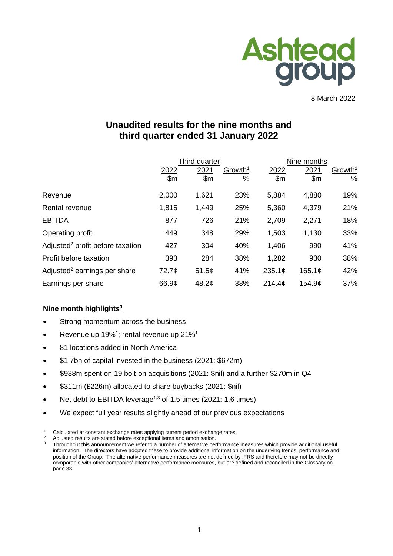

8 March 2022

# **Unaudited results for the nine months and third quarter ended 31 January 2022**

|                                              |               | Third quarter |                          |             | Nine months   |                             |  |
|----------------------------------------------|---------------|---------------|--------------------------|-------------|---------------|-----------------------------|--|
|                                              | 2022<br>\$m\$ | 2021<br>\$m   | Growth <sup>1</sup><br>% | 2022<br>\$m | 2021<br>\$m\$ | Growth <sup>1</sup><br>$\%$ |  |
|                                              |               |               |                          |             |               |                             |  |
| Revenue                                      | 2,000         | 1,621         | 23%                      | 5,884       | 4,880         | 19%                         |  |
| Rental revenue                               | 1,815         | 1,449         | 25%                      | 5,360       | 4,379         | 21%                         |  |
| <b>EBITDA</b>                                | 877           | 726           | 21%                      | 2,709       | 2,271         | 18%                         |  |
| Operating profit                             | 449           | 348           | 29%                      | 1,503       | 1,130         | 33%                         |  |
| Adjusted <sup>2</sup> profit before taxation | 427           | 304           | 40%                      | 1,406       | 990           | 41%                         |  |
| Profit before taxation                       | 393           | 284           | 38%                      | 1,282       | 930           | 38%                         |  |
| Adjusted <sup>2</sup> earnings per share     | 72.7¢         | 51.5¢         | 41%                      | 235.1c      | 165.1c        | 42%                         |  |
| Earnings per share                           | 66.9¢         | 48.2¢         | 38%                      | 214.4¢      | 154.9¢        | 37%                         |  |

# **Nine month highlights<sup>3</sup>**

- Strong momentum across the business
- Revenue up 19%<sup>1</sup>; rental revenue up 21%<sup>1</sup>
- 81 locations added in North America
- \$1.7bn of capital invested in the business (2021: \$672m)
- \$938m spent on 19 bolt-on acquisitions (2021: \$nil) and a further \$270m in Q4
- \$311m (£226m) allocated to share buybacks (2021: \$nil)
- Net debt to EBITDA leverage<sup>1,3</sup> of 1.5 times (2021: 1.6 times)
- We expect full year results slightly ahead of our previous expectations

Calculated at constant exchange rates applying current period exchange rates.

<sup>&</sup>lt;sup>2</sup> Adjusted results are stated before exceptional items and amortisation.

<sup>3</sup> Throughout this announcement we refer to a number of alternative performance measures which provide additional useful information. The directors have adopted these to provide additional information on the underlying trends, performance and position of the Group. The alternative performance measures are not defined by IFRS and therefore may not be directly comparable with other companies' alternative performance measures, but are defined and reconciled in the Glossary on page 33.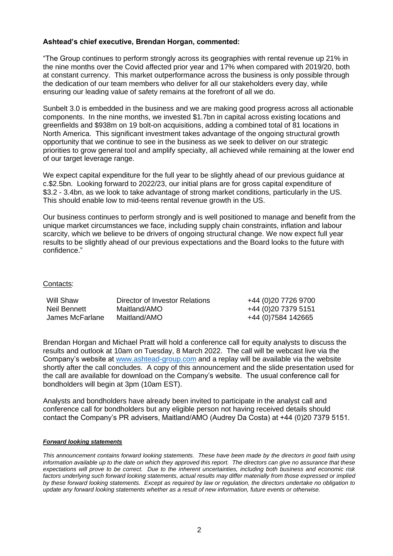# **Ashtead's chief executive, Brendan Horgan, commented:**

"The Group continues to perform strongly across its geographies with rental revenue up 21% in the nine months over the Covid affected prior year and 17% when compared with 2019/20, both at constant currency. This market outperformance across the business is only possible through the dedication of our team members who deliver for all our stakeholders every day, while ensuring our leading value of safety remains at the forefront of all we do.

Sunbelt 3.0 is embedded in the business and we are making good progress across all actionable components. In the nine months, we invested \$1.7bn in capital across existing locations and greenfields and \$938m on 19 bolt-on acquisitions, adding a combined total of 81 locations in North America. This significant investment takes advantage of the ongoing structural growth opportunity that we continue to see in the business as we seek to deliver on our strategic priorities to grow general tool and amplify specialty, all achieved while remaining at the lower end of our target leverage range.

We expect capital expenditure for the full year to be slightly ahead of our previous guidance at c.\$2.5bn. Looking forward to 2022/23, our initial plans are for gross capital expenditure of \$3.2 - 3.4bn, as we look to take advantage of strong market conditions, particularly in the US. This should enable low to mid-teens rental revenue growth in the US.

Our business continues to perform strongly and is well positioned to manage and benefit from the unique market circumstances we face, including supply chain constraints, inflation and labour scarcity, which we believe to be drivers of ongoing structural change. We now expect full year results to be slightly ahead of our previous expectations and the Board looks to the future with confidence."

## Contacts:

| Will Shaw       | Director of Investor Relations | +44 (0)20 7726 9700 |
|-----------------|--------------------------------|---------------------|
| Neil Bennett    | Maitland/AMO                   | +44 (0)20 7379 5151 |
| James McFarlane | Maitland/AMO                   | +44 (0) 7584 142665 |

Brendan Horgan and Michael Pratt will hold a conference call for equity analysts to discuss the results and outlook at 10am on Tuesday, 8 March 2022. The call will be webcast live via the Company's website at [www.ashtead-group.com](http://www.ashtead-group.com/) and a replay will be available via the website shortly after the call concludes. A copy of this announcement and the slide presentation used for the call are available for download on the Company's website. The usual conference call for bondholders will begin at 3pm (10am EST).

Analysts and bondholders have already been invited to participate in the analyst call and conference call for bondholders but any eligible person not having received details should contact the Company's PR advisers, Maitland/AMO (Audrey Da Costa) at +44 (0)20 7379 5151.

#### *Forward looking statements*

*This announcement contains forward looking statements. These have been made by the directors in good faith using information available up to the date on which they approved this report. The directors can give no assurance that these expectations will prove to be correct. Due to the inherent uncertainties, including both business and economic risk*  factors underlying such forward looking statements, actual results may differ materially from those expressed or implied *by these forward looking statements. Except as required by law or regulation, the directors undertake no obligation to update any forward looking statements whether as a result of new information, future events or otherwise.*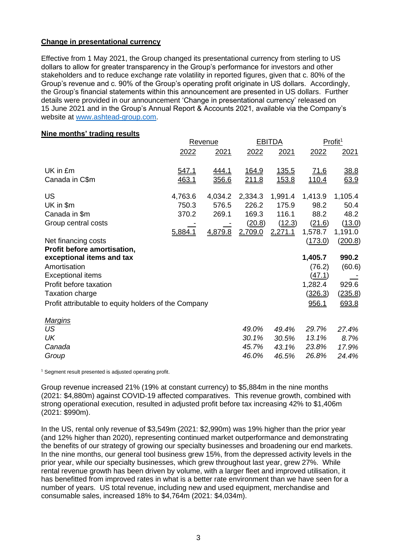### **Change in presentational currency**

Effective from 1 May 2021, the Group changed its presentational currency from sterling to US dollars to allow for greater transparency in the Group's performance for investors and other stakeholders and to reduce exchange rate volatility in reported figures, given that c. 80% of the Group's revenue and c. 90% of the Group's operating profit originate in US dollars. Accordingly, the Group's financial statements within this announcement are presented in US dollars. Further details were provided in our announcement 'Change in presentational currency' released on 15 June 2021 and in the Group's Annual Report & Accounts 2021, available via the Company's website at [www.ashtead-group.com.](http://www.ashtead-group.com/)

### **Nine months' trading results**

|                                                      |         | Revenue      |              | <b>EBITDA</b> | Profit <sup>1</sup> |                |
|------------------------------------------------------|---------|--------------|--------------|---------------|---------------------|----------------|
|                                                      | 2022    | 2021         | 2022         | 2021          | 2022                | 2021           |
| UK in £m                                             | 547.1   | <u>444.1</u> | <u>164.9</u> | 135.5         | <u>71.6</u>         | 38.8           |
| Canada in C\$m                                       | 463.1   | 356.6        | <u>211.8</u> | 153.8         | <u>110.4</u>        | 63.9           |
| <b>US</b>                                            | 4,763.6 | 4,034.2      | 2,334.3      | 1,991.4       | 1,413.9             | 1,105.4        |
| UK in \$m                                            | 750.3   | 576.5        | 226.2        | 175.9         | 98.2                | 50.4           |
| Canada in \$m                                        | 370.2   | 269.1        | 169.3        | 116.1         | 88.2                | 48.2           |
| Group central costs                                  |         |              | (20.8)       | (12.3)        | (21.6)              | (13.0)         |
|                                                      | 5,884.1 | 4,879.8      | 2,709.0      | 2,271.1       | 1,578.7             | 1,191.0        |
| Net financing costs                                  |         |              |              |               | (173.0)             | (200.8)        |
| Profit before amortisation,                          |         |              |              |               |                     |                |
| exceptional items and tax                            |         |              |              |               | 1,405.7             | 990.2          |
| Amortisation                                         |         |              |              |               | (76.2)              | (60.6)         |
| <b>Exceptional items</b>                             |         |              |              |               | (47.1)              |                |
| Profit before taxation                               |         |              |              |               | 1,282.4             | 929.6          |
| <b>Taxation charge</b>                               |         |              |              |               | <u>(326.3)</u>      | <u>(235.8)</u> |
| Profit attributable to equity holders of the Company |         |              |              |               | 956.1               | 693.8          |
| <b>Margins</b>                                       |         |              |              |               |                     |                |
| US                                                   |         |              | 49.0%        | 49.4%         | 29.7%               | 27.4%          |
| UK                                                   |         |              | 30.1%        | 30.5%         | 13.1%               | 8.7%           |
| Canada                                               |         |              | 45.7%        | 43.1%         | 23.8%               | 17.9%          |
|                                                      |         |              |              |               |                     |                |
| Group                                                |         |              | 46.0%        | 46.5%         | 26.8%               | 24.4%          |

<sup>1</sup> Segment result presented is adjusted operating profit.

Group revenue increased 21% (19% at constant currency) to \$5,884m in the nine months (2021: \$4,880m) against COVID-19 affected comparatives. This revenue growth, combined with strong operational execution, resulted in adjusted profit before tax increasing 42% to \$1,406m (2021: \$990m).

In the US, rental only revenue of \$3,549m (2021: \$2,990m) was 19% higher than the prior year (and 12% higher than 2020), representing continued market outperformance and demonstrating the benefits of our strategy of growing our specialty businesses and broadening our end markets. In the nine months, our general tool business grew 15%, from the depressed activity levels in the prior year, while our specialty businesses, which grew throughout last year, grew 27%. While rental revenue growth has been driven by volume, with a larger fleet and improved utilisation, it has benefitted from improved rates in what is a better rate environment than we have seen for a number of years. US total revenue, including new and used equipment, merchandise and consumable sales, increased 18% to \$4,764m (2021: \$4,034m).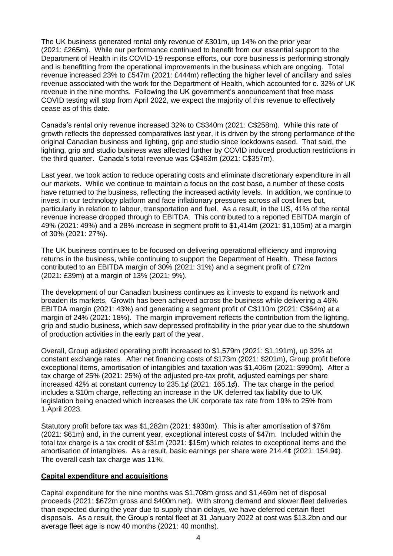The UK business generated rental only revenue of £301m, up 14% on the prior year (2021: £265m). While our performance continued to benefit from our essential support to the Department of Health in its COVID-19 response efforts, our core business is performing strongly and is benefitting from the operational improvements in the business which are ongoing. Total revenue increased 23% to £547m (2021: £444m) reflecting the higher level of ancillary and sales revenue associated with the work for the Department of Health, which accounted for c. 32% of UK revenue in the nine months. Following the UK government's announcement that free mass COVID testing will stop from April 2022, we expect the majority of this revenue to effectively cease as of this date.

Canada's rental only revenue increased 32% to C\$340m (2021: C\$258m). While this rate of growth reflects the depressed comparatives last year, it is driven by the strong performance of the original Canadian business and lighting, grip and studio since lockdowns eased. That said, the lighting, grip and studio business was affected further by COVID induced production restrictions in the third quarter. Canada's total revenue was C\$463m (2021: C\$357m).

Last year, we took action to reduce operating costs and eliminate discretionary expenditure in all our markets. While we continue to maintain a focus on the cost base, a number of these costs have returned to the business, reflecting the increased activity levels. In addition, we continue to invest in our technology platform and face inflationary pressures across all cost lines but, particularly in relation to labour, transportation and fuel. As a result, in the US, 41% of the rental revenue increase dropped through to EBITDA. This contributed to a reported EBITDA margin of 49% (2021: 49%) and a 28% increase in segment profit to \$1,414m (2021: \$1,105m) at a margin of 30% (2021: 27%).

The UK business continues to be focused on delivering operational efficiency and improving returns in the business, while continuing to support the Department of Health. These factors contributed to an EBITDA margin of 30% (2021: 31%) and a segment profit of £72m (2021: £39m) at a margin of 13% (2021: 9%).

The development of our Canadian business continues as it invests to expand its network and broaden its markets. Growth has been achieved across the business while delivering a 46% EBITDA margin (2021: 43%) and generating a segment profit of C\$110m (2021: C\$64m) at a margin of 24% (2021: 18%). The margin improvement reflects the contribution from the lighting, grip and studio business, which saw depressed profitability in the prior year due to the shutdown of production activities in the early part of the year.

Overall, Group adjusted operating profit increased to \$1,579m (2021: \$1,191m), up 32% at constant exchange rates. After net financing costs of \$173m (2021: \$201m), Group profit before exceptional items, amortisation of intangibles and taxation was \$1,406m (2021: \$990m). After a tax charge of 25% (2021: 25%) of the adjusted pre-tax profit, adjusted earnings per share increased 42% at constant currency to 235.1 $\ell$  (2021: 165.1 $\ell$ ). The tax charge in the period includes a \$10m charge, reflecting an increase in the UK deferred tax liability due to UK legislation being enacted which increases the UK corporate tax rate from 19% to 25% from 1 April 2023.

Statutory profit before tax was \$1,282m (2021: \$930m). This is after amortisation of \$76m (2021: \$61m) and, in the current year, exceptional interest costs of \$47m. Included within the total tax charge is a tax credit of \$31m (2021: \$15m) which relates to exceptional items and the amortisation of intangibles. As a result, basic earnings per share were 214.4¢ (2021: 154.9¢). The overall cash tax charge was 11%.

## **Capital expenditure and acquisitions**

Capital expenditure for the nine months was \$1,708m gross and \$1,469m net of disposal proceeds (2021: \$672m gross and \$400m net). With strong demand and slower fleet deliveries than expected during the year due to supply chain delays, we have deferred certain fleet disposals. As a result, the Group's rental fleet at 31 January 2022 at cost was \$13.2bn and our average fleet age is now 40 months (2021: 40 months).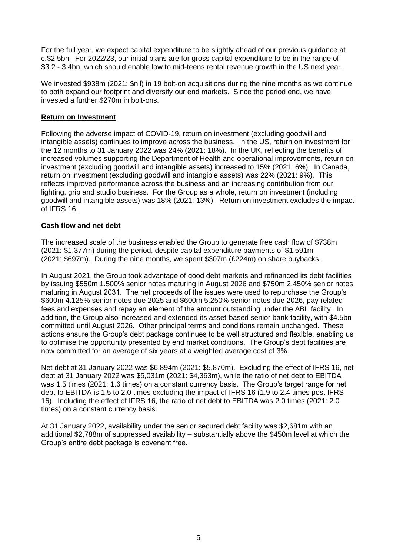For the full year, we expect capital expenditure to be slightly ahead of our previous guidance at c.\$2.5bn. For 2022/23, our initial plans are for gross capital expenditure to be in the range of \$3.2 - 3.4bn, which should enable low to mid-teens rental revenue growth in the US next year.

We invested \$938m (2021: \$nil) in 19 bolt-on acquisitions during the nine months as we continue to both expand our footprint and diversify our end markets. Since the period end, we have invested a further \$270m in bolt-ons.

## **Return on Investment**

Following the adverse impact of COVID-19, return on investment (excluding goodwill and intangible assets) continues to improve across the business. In the US, return on investment for the 12 months to 31 January 2022 was 24% (2021: 18%). In the UK, reflecting the benefits of increased volumes supporting the Department of Health and operational improvements, return on investment (excluding goodwill and intangible assets) increased to 15% (2021: 6%). In Canada, return on investment (excluding goodwill and intangible assets) was 22% (2021: 9%). This reflects improved performance across the business and an increasing contribution from our lighting, grip and studio business. For the Group as a whole, return on investment (including goodwill and intangible assets) was 18% (2021: 13%). Return on investment excludes the impact of IFRS 16.

## **Cash flow and net debt**

The increased scale of the business enabled the Group to generate free cash flow of \$738m (2021: \$1,377m) during the period, despite capital expenditure payments of \$1,591m (2021: \$697m). During the nine months, we spent \$307m (£224m) on share buybacks.

In August 2021, the Group took advantage of good debt markets and refinanced its debt facilities by issuing \$550m 1.500% senior notes maturing in August 2026 and \$750m 2.450% senior notes maturing in August 2031. The net proceeds of the issues were used to repurchase the Group's \$600m 4.125% senior notes due 2025 and \$600m 5.250% senior notes due 2026, pay related fees and expenses and repay an element of the amount outstanding under the ABL facility. In addition, the Group also increased and extended its asset-based senior bank facility, with \$4.5bn committed until August 2026. Other principal terms and conditions remain unchanged. These actions ensure the Group's debt package continues to be well structured and flexible, enabling us to optimise the opportunity presented by end market conditions. The Group's debt facilities are now committed for an average of six years at a weighted average cost of 3%.

Net debt at 31 January 2022 was \$6,894m (2021: \$5,870m). Excluding the effect of IFRS 16, net debt at 31 January 2022 was \$5,031m (2021: \$4,363m), while the ratio of net debt to EBITDA was 1.5 times (2021: 1.6 times) on a constant currency basis. The Group's target range for net debt to EBITDA is 1.5 to 2.0 times excluding the impact of IFRS 16 (1.9 to 2.4 times post IFRS 16). Including the effect of IFRS 16, the ratio of net debt to EBITDA was 2.0 times (2021: 2.0 times) on a constant currency basis.

At 31 January 2022, availability under the senior secured debt facility was \$2,681m with an additional \$2,788m of suppressed availability – substantially above the \$450m level at which the Group's entire debt package is covenant free.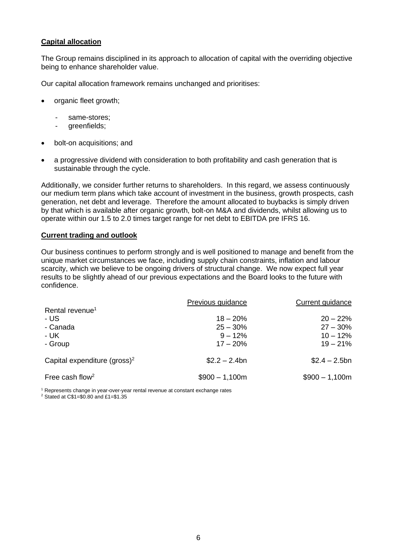# **Capital allocation**

The Group remains disciplined in its approach to allocation of capital with the overriding objective being to enhance shareholder value.

Our capital allocation framework remains unchanged and prioritises:

- organic fleet growth;
	- same-stores;
	- greenfields;
- bolt-on acquisitions; and
- a progressive dividend with consideration to both profitability and cash generation that is sustainable through the cycle.

Additionally, we consider further returns to shareholders. In this regard, we assess continuously our medium term plans which take account of investment in the business, growth prospects, cash generation, net debt and leverage. Therefore the amount allocated to buybacks is simply driven by that which is available after organic growth, bolt-on M&A and dividends, whilst allowing us to operate within our 1.5 to 2.0 times target range for net debt to EBITDA pre IFRS 16.

### **Current trading and outlook**

Our business continues to perform strongly and is well positioned to manage and benefit from the unique market circumstances we face, including supply chain constraints, inflation and labour scarcity, which we believe to be ongoing drivers of structural change. We now expect full year results to be slightly ahead of our previous expectations and the Board looks to the future with confidence.

|                                                                    | Previous guidance                                   | Current guidance                                     |
|--------------------------------------------------------------------|-----------------------------------------------------|------------------------------------------------------|
| Rental revenue <sup>1</sup><br>- US<br>- Canada<br>- UK<br>- Group | $18 - 20%$<br>$25 - 30%$<br>$9 - 12%$<br>$17 - 20%$ | $20 - 22%$<br>$27 - 30%$<br>$10 - 12%$<br>$19 - 21%$ |
| Capital expenditure (gross) <sup>2</sup>                           | $$2.2 - 2.4$ bn                                     | $$2.4 - 2.5$ bn                                      |
| Free cash flow <sup>2</sup>                                        | $$900 - 1,100m$                                     | $$900 - 1,100m$                                      |

<sup>1</sup> Represents change in year-over-year rental revenue at constant exchange rates

<sup>2</sup> Stated at C\$1=\$0.80 and £1=\$1.35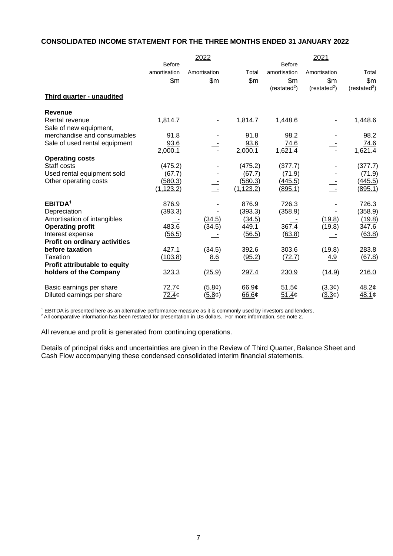## **CONSOLIDATED INCOME STATEMENT FOR THE THREE MONTHS ENDED 31 JANUARY 2022**

|                                  |                | 2022         |            |                        | 2021                    |                          |
|----------------------------------|----------------|--------------|------------|------------------------|-------------------------|--------------------------|
|                                  | <b>Before</b>  |              |            | <b>Before</b>          |                         |                          |
|                                  | amortisation   | Amortisation | Total      | amortisation           | Amortisation            | Total                    |
|                                  | \$m\$          | \$m\$        | \$m\$      | \$m\$                  | \$m\$                   | \$m\$                    |
|                                  |                |              |            | (rested <sup>2</sup> ) | (resated <sup>2</sup> ) | (restated <sup>2</sup> ) |
| <b>Third quarter - unaudited</b> |                |              |            |                        |                         |                          |
| <b>Revenue</b>                   |                |              |            |                        |                         |                          |
| Rental revenue                   | 1,814.7        |              | 1,814.7    | 1,448.6                |                         | 1,448.6                  |
| Sale of new equipment,           |                |              |            |                        |                         |                          |
| merchandise and consumables      | 91.8           |              | 91.8       | 98.2                   |                         | 98.2                     |
| Sale of used rental equipment    | 93.6           |              | 93.6       | 74.6                   |                         | 74.6                     |
|                                  | 2,000.1        |              | 2,000.1    | 1,621.4                | $\sim$ $-$              | 1,621.4                  |
| <b>Operating costs</b>           |                |              |            |                        |                         |                          |
| Staff costs                      | (475.2)        |              | (475.2)    | (377.7)                |                         | (377.7)                  |
| Used rental equipment sold       | (67.7)         |              | (67.7)     | (71.9)                 |                         | (71.9)                   |
| Other operating costs            | <u>(580.3)</u> |              | (580.3)    | (445.5)                |                         | (445.5)                  |
|                                  | (1, 123.2)     |              | (1, 123.2) | (895.1)                |                         | (895.1)                  |
| EBITDA <sup>1</sup>              | 876.9          |              | 876.9      | 726.3                  |                         | 726.3                    |
| Depreciation                     | (393.3)        |              | (393.3)    | (358.9)                |                         | (358.9)                  |
| Amortisation of intangibles      |                | (34.5)       | (34.5)     |                        | (19.8)                  | (19.8)                   |
| <b>Operating profit</b>          | 483.6          | (34.5)       | 449.1      | 367.4                  | (19.8)                  | 347.6                    |
| Interest expense                 | (56.5)         |              | (56.5)     | (63.8)                 |                         | (63.8)                   |
| Profit on ordinary activities    |                |              |            |                        |                         |                          |
| before taxation                  | 427.1          | (34.5)       | 392.6      | 303.6                  | (19.8)                  | 283.8                    |
| Taxation                         | (103.8)        | 8.6          | (95.2)     | (72.7)                 | <u>4.9</u>              | (67.8)                   |
| Profit attributable to equity    |                |              |            |                        |                         |                          |
| holders of the Company           | 323.3          | (25.9)       | 297.4      | 230.9                  | (14.9)                  | 216.0                    |
| Basic earnings per share         | 72.7¢          | (5.8¢)       | 66.9¢      | 51.5¢                  | (3.3¢)                  | 48.2¢                    |
| Diluted earnings per share       | 72.4¢          | (5.8¢)       | 66.6¢      | 51.4 <sub>¢</sub>      | (3.3¢)                  | 48.1¢                    |

<sup>1</sup> EBITDA is presented here as an alternative performance measure as it is commonly used by investors and lenders.

<sup>2</sup> All comparative information has been restated for presentation in US dollars. For more information, see note 2.

All revenue and profit is generated from continuing operations.

Details of principal risks and uncertainties are given in the Review of Third Quarter, Balance Sheet and Cash Flow accompanying these condensed consolidated interim financial statements.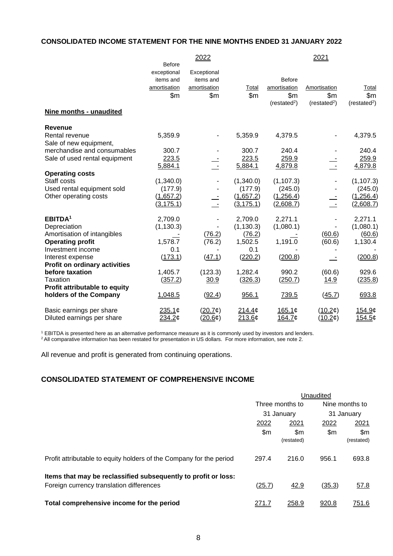## **CONSOLIDATED INCOME STATEMENT FOR THE NINE MONTHS ENDED 31 JANUARY 2022**

|                                      |               | 2022         |               |                          | 2021                    |                          |
|--------------------------------------|---------------|--------------|---------------|--------------------------|-------------------------|--------------------------|
|                                      | <b>Before</b> |              |               |                          |                         |                          |
|                                      | exceptional   | Exceptional  |               |                          |                         |                          |
|                                      | items and     | items and    |               | <b>Before</b>            |                         |                          |
|                                      | amortisation  | amortisation | Total         | amortisation             | Amortisation            | Total                    |
|                                      | \$m           | \$m\$        | $\mathsf{Sm}$ | \$m\$                    | \$m                     | \$m\$                    |
|                                      |               |              |               | (restated <sup>2</sup> ) | (resated <sup>2</sup> ) | (restated <sup>2</sup> ) |
| Nine months - unaudited              |               |              |               |                          |                         |                          |
| Revenue                              |               |              |               |                          |                         |                          |
| Rental revenue                       | 5,359.9       |              | 5,359.9       | 4,379.5                  |                         | 4,379.5                  |
| Sale of new equipment,               |               |              |               |                          |                         |                          |
| merchandise and consumables          | 300.7         |              | 300.7         | 240.4                    |                         | 240.4                    |
| Sale of used rental equipment        | 223.5         |              | 223.5         | 259.9                    |                         | 259.9                    |
|                                      | 5,884.1       | $\sim$       | 5,884.1       | 4,879.8                  | $\sim$ $-$              | 4,879.8                  |
| <b>Operating costs</b>               |               |              |               |                          |                         |                          |
| Staff costs                          | (1,340.0)     |              | (1,340.0)     | (1, 107.3)               |                         | (1, 107.3)               |
| Used rental equipment sold           | (177.9)       |              | (177.9)       | (245.0)                  |                         | (245.0)                  |
| Other operating costs                | (1,657.2)     |              | (1,657.2)     | (1,256.4)                |                         | (1,256.4)                |
|                                      | (3, 175.1)    |              | (3, 175.1)    | (2,608.7)                |                         | (2,608.7)                |
| EBITDA <sup>1</sup>                  | 2,709.0       |              | 2,709.0       | 2,271.1                  |                         | 2,271.1                  |
| Depreciation                         | (1, 130.3)    |              | (1, 130.3)    | (1,080.1)                |                         | (1,080.1)                |
| Amortisation of intangibles          |               | (76.2)       | (76.2)        |                          | (60.6)                  | (60.6)                   |
| <b>Operating profit</b>              | 1,578.7       | (76.2)       | 1,502.5       | 1,191.0                  | (60.6)                  | 1,130.4                  |
| Investment income                    | 0.1           |              | 0.1           |                          |                         |                          |
| Interest expense                     | (173.1)       | (47.1)       | (220.2)       | (200.8)                  |                         | (200.8)                  |
| <b>Profit on ordinary activities</b> |               |              |               |                          |                         |                          |
| before taxation                      | 1,405.7       | (123.3)      | 1,282.4       | 990.2                    | (60.6)                  | 929.6                    |
| Taxation                             | (357.2)       | 30.9         | (326.3)       | (250.7)                  | <u>14.9</u>             | (235.8)                  |
| Profit attributable to equity        |               |              |               |                          |                         |                          |
| holders of the Company               | 1,048.5       | (92.4)       | 956.1         | 739.5                    | (45.7)                  | 693.8                    |
| Basic earnings per share             | 235.1¢        | (20.7)       | 214.4c        | 165.1¢                   | (10.2¢)                 | 154.9¢                   |
| Diluted earnings per share           | 234.2¢        | (20.6)       | 213.6¢        | 164.7¢                   | (10.2¢)                 | 154.5¢                   |

<sup>1</sup> EBITDA is presented here as an alternative performance measure as it is commonly used by investors and lenders.

 $^2$  All comparative information has been restated for presentation in US dollars. For more information, see note 2.

All revenue and profit is generated from continuing operations.

# **CONSOLIDATED STATEMENT OF COMPREHENSIVE INCOME**

|                                                                                                            | Unaudited |                 |            |                |
|------------------------------------------------------------------------------------------------------------|-----------|-----------------|------------|----------------|
|                                                                                                            |           | Three months to |            | Nine months to |
|                                                                                                            |           | 31 January      | 31 January |                |
|                                                                                                            | 2022      | 2021            | 2022       | 2021           |
|                                                                                                            | \$m       | \$m             | \$m        | \$m            |
|                                                                                                            |           | (restated)      |            | (restated)     |
| Profit attributable to equity holders of the Company for the period                                        | 297.4     | 216.0           | 956.1      | 693.8          |
| Items that may be reclassified subsequently to profit or loss:<br>Foreign currency translation differences | (25.7)    | 42.9            | (35.3)     | 57.8           |
| Total comprehensive income for the period                                                                  | 271.7     | <u>258.9</u>    | 920.8      | 751.6          |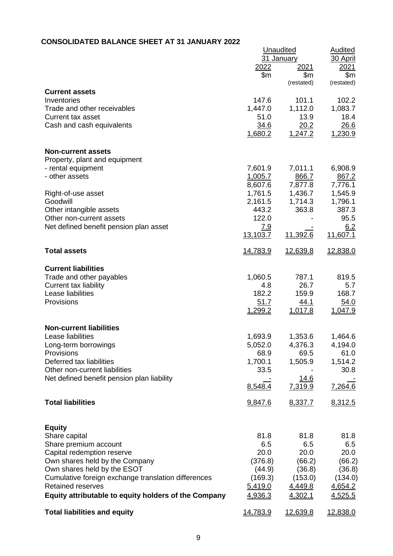# **CONSOLIDATED BALANCE SHEET AT 31 JANUARY 2022**

| - VIILLI AI                                          |                 |                  |                |
|------------------------------------------------------|-----------------|------------------|----------------|
|                                                      |                 | <b>Unaudited</b> | <b>Audited</b> |
|                                                      |                 | 31 January       | 30 April       |
|                                                      | 2022            | 2021             | 2021           |
|                                                      |                 |                  |                |
|                                                      | \$m             | \$m              | \$m            |
|                                                      |                 | (restated)       | (restated)     |
| <b>Current assets</b>                                |                 |                  |                |
| Inventories                                          | 147.6           | 101.1            | 102.2          |
| Trade and other receivables                          |                 |                  |                |
|                                                      | 1,447.0         | 1,112.0          | 1,083.7        |
| <b>Current tax asset</b>                             | 51.0            | 13.9             | 18.4           |
| Cash and cash equivalents                            | 34.6            | 20.2             | 26.6           |
|                                                      | 1,680.2         | 1,247.2          | 1,230.9        |
| <b>Non-current assets</b>                            |                 |                  |                |
|                                                      |                 |                  |                |
| Property, plant and equipment                        |                 |                  |                |
| - rental equipment                                   | 7,601.9         | 7,011.1          | 6,908.9        |
| - other assets                                       | 1,005.7         | 866.7            | 867.2          |
|                                                      | 8,607.6         | 7,877.8          | 7,776.1        |
| Right-of-use asset                                   | 1,761.5         | 1,436.7          | 1,545.9        |
|                                                      |                 |                  |                |
| Goodwill                                             | 2,161.5         | 1,714.3          | 1,796.1        |
| Other intangible assets                              | 443.2           | 363.8            | 387.3          |
| Other non-current assets                             | 122.0           |                  | 95.5           |
| Net defined benefit pension plan asset               | <u>7.9</u>      |                  | 6.2            |
|                                                      | 13,103.7        | 11,392.6         | 11,607.1       |
|                                                      |                 |                  |                |
| <b>Total assets</b>                                  | <u>14,783.9</u> | <u>12,639.8</u>  | 12,838.0       |
| <b>Current liabilities</b>                           |                 |                  |                |
|                                                      |                 |                  |                |
| Trade and other payables                             | 1,060.5         | 787.1            | 819.5          |
| <b>Current tax liability</b>                         | 4.8             | 26.7             | 5.7            |
| Lease liabilities                                    | 182.2           | 159.9            | 168.7          |
| Provisions                                           | 51.7            | 44.1             | 54.0           |
|                                                      |                 |                  |                |
|                                                      | 1,299.2         | 1,017.8          | 1,047.9        |
| <b>Non-current liabilities</b>                       |                 |                  |                |
| Lease liabilities                                    | 1,693.9         | 1,353.6          | 1,464.6        |
| Long-term borrowings                                 | 5,052.0         | 4,376.3          | 4,194.0        |
|                                                      |                 |                  |                |
| Provisions                                           | 68.9            | 69.5             | 61.0           |
| Deferred tax liabilities                             | 1,700.1         | 1,505.9          | 1,514.2        |
| Other non-current liabilities                        | 33.5            |                  | 30.8           |
| Net defined benefit pension plan liability           |                 | <u>14.6</u>      |                |
|                                                      |                 |                  | 7,264.6        |
|                                                      | 8,548.4         | 7,319.9          |                |
| <b>Total liabilities</b>                             | 9,847.6         | 8,337.7          | 8,312.5        |
|                                                      |                 |                  |                |
| <b>Equity</b>                                        |                 |                  |                |
| Share capital                                        | 81.8            | 81.8             | 81.8           |
| Share premium account                                | 6.5             | 6.5              | 6.5            |
|                                                      | 20.0            | 20.0             |                |
| Capital redemption reserve                           |                 |                  | 20.0           |
| Own shares held by the Company                       | (376.8)         | (66.2)           | (66.2)         |
| Own shares held by the ESOT                          | (44.9)          | (36.8)           | (36.8)         |
| Cumulative foreign exchange translation differences  | (169.3)         | (153.0)          | (134.0)        |
| <b>Retained reserves</b>                             | 5,419.0         | 4,449.8          | 4,654.2        |
|                                                      |                 |                  |                |
| Equity attributable to equity holders of the Company | 4,936.3         | 4,302.1          | 4,525.5        |
| <b>Total liabilities and equity</b>                  | <u>14,783.9</u> | 12,639.8         | 12,838.0       |
|                                                      |                 |                  |                |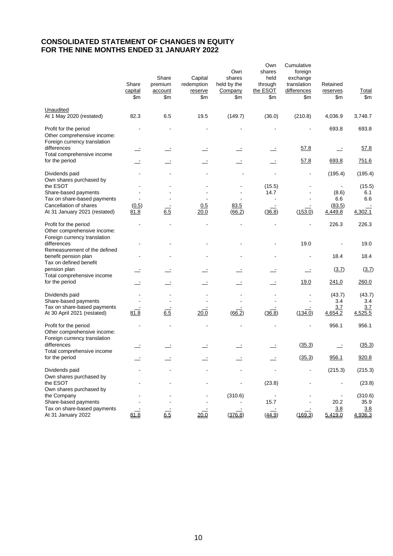# **CONSOLIDATED STATEMENT OF CHANGES IN EQUITY FOR THE NINE MONTHS ENDED 31 JANUARY 2022**

|                                                                                      | Share<br>capital<br>\$m\$ | Share<br>premium<br>account<br>\$m\$ | Capital<br>redemption<br>reserve<br>\$m\$ | Own<br>shares<br>held by the<br>Company<br>\$m | Own<br>shares<br>held<br>through<br>the ESOT<br>\$m\$ | Cumulative<br>foreign<br>exchange<br>translation<br>differences<br>\$m | Retained<br>reserves<br>\$m\$ | <b>Total</b><br>\$m\$ |
|--------------------------------------------------------------------------------------|---------------------------|--------------------------------------|-------------------------------------------|------------------------------------------------|-------------------------------------------------------|------------------------------------------------------------------------|-------------------------------|-----------------------|
| Unaudited<br>At 1 May 2020 (restated)                                                | 82.3                      | 6.5                                  | 19.5                                      | (149.7)                                        | (36.0)                                                | (210.8)                                                                | 4,036.9                       | 3,748.7               |
| Profit for the period<br>Other comprehensive income:<br>Foreign currency translation |                           |                                      |                                           |                                                |                                                       |                                                                        | 693.8                         | 693.8                 |
| differences<br>Total comprehensive income                                            |                           |                                      |                                           |                                                |                                                       | 57.8                                                                   |                               | 57.8                  |
| for the period                                                                       | 2                         | 2                                    | $\mathbf{r}$                              | $\equiv$                                       | $\mathbf{r}$                                          | 57.8                                                                   | 693.8                         | 751.6                 |
| Dividends paid<br>Own shares purchased by                                            |                           |                                      |                                           |                                                |                                                       |                                                                        | (195.4)                       | (195.4)               |
| the ESOT                                                                             |                           |                                      |                                           |                                                | (15.5)                                                |                                                                        |                               | (15.5)                |
| Share-based payments                                                                 |                           |                                      |                                           |                                                | 14.7                                                  |                                                                        | (8.6)                         | 6.1                   |
| Tax on share-based payments                                                          |                           |                                      |                                           |                                                |                                                       |                                                                        | 6.6                           | 6.6                   |
| Cancellation of shares<br>At 31 January 2021 (restated)                              | (0.5)<br>81.8             | 6.5                                  | 0.5<br>20.0                               | 83.5<br>(66.2)                                 | (36.8)                                                | (153.0)                                                                | (83.5)<br>4,449.8             | 4,302.1               |
| Profit for the period<br>Other comprehensive income:<br>Foreign currency translation |                           |                                      |                                           |                                                |                                                       |                                                                        | 226.3                         | 226.3                 |
| differences<br>Remeasurement of the defined                                          |                           |                                      |                                           |                                                |                                                       | 19.0                                                                   |                               | 19.0                  |
| benefit pension plan<br>Tax on defined benefit                                       |                           |                                      |                                           |                                                |                                                       |                                                                        | 18.4                          | 18.4                  |
| pension plan<br>Total comprehensive income                                           |                           |                                      |                                           |                                                |                                                       |                                                                        | (3.7)                         | (3.7)                 |
| for the period                                                                       |                           |                                      |                                           |                                                |                                                       | <u>19.0</u>                                                            | 241.0                         | 260.0                 |
| Dividends paid                                                                       |                           |                                      |                                           |                                                |                                                       |                                                                        | (43.7)                        | (43.7)                |
| Share-based payments                                                                 |                           |                                      |                                           |                                                |                                                       |                                                                        | 3.4                           | 3.4                   |
| Tax on share-based payments<br>At 30 April 2021 (restated)                           | 81.8                      | 6.5                                  | 20.0                                      | (66.2)                                         | (36.8)                                                | (134.0)                                                                | 3.7<br>4,654.2                | 3.7<br>4,525.5        |
| Profit for the period<br>Other comprehensive income:<br>Foreign currency translation |                           |                                      |                                           |                                                |                                                       |                                                                        | 956.1                         | 956.1                 |
| differences<br>Total comprehensive income                                            |                           |                                      |                                           |                                                |                                                       | (35.3)                                                                 |                               | (35.3)                |
| for the period                                                                       |                           |                                      |                                           |                                                |                                                       | (35.3)                                                                 | 956.1                         | 920.8                 |
| Dividends paid<br>Own shares purchased by                                            |                           |                                      |                                           |                                                |                                                       |                                                                        | (215.3)                       | (215.3)               |
| the ESOT<br>Own shares purchased by                                                  |                           |                                      |                                           |                                                | (23.8)                                                |                                                                        |                               | (23.8)                |
| the Company                                                                          |                           |                                      |                                           | (310.6)                                        |                                                       |                                                                        |                               | (310.6)               |
| Share-based payments                                                                 |                           |                                      |                                           |                                                | 15.7                                                  |                                                                        | 20.2                          | 35.9                  |
| Tax on share-based payments                                                          |                           |                                      |                                           |                                                |                                                       |                                                                        | 3.8                           | 3.8                   |
| At 31 January 2022                                                                   | 81.8                      | 6.5                                  | 20.0                                      | (376.8)                                        | (44.9)                                                | (169.3)                                                                | 5,419.0                       | 4,936.3               |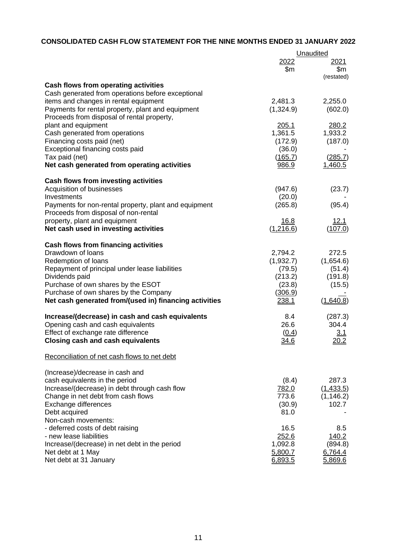# **CONSOLIDATED CASH FLOW STATEMENT FOR THE NINE MONTHS ENDED 31 JANUARY 2022**

|                                                           |             | Unaudited   |  |
|-----------------------------------------------------------|-------------|-------------|--|
|                                                           | 2022        | 2021        |  |
|                                                           | \$m         | \$m         |  |
|                                                           |             | (restated)  |  |
| Cash flows from operating activities                      |             |             |  |
| Cash generated from operations before exceptional         |             |             |  |
| items and changes in rental equipment                     | 2,481.3     | 2,255.0     |  |
| Payments for rental property, plant and equipment         | (1,324.9)   | (602.0)     |  |
| Proceeds from disposal of rental property,                |             |             |  |
| plant and equipment                                       | 205.1       | 280.2       |  |
| Cash generated from operations                            | 1,361.5     | 1,933.2     |  |
| Financing costs paid (net)                                | (172.9)     | (187.0)     |  |
| Exceptional financing costs paid                          | (36.0)      |             |  |
| Tax paid (net)                                            | (165.7)     | (285.7)     |  |
| Net cash generated from operating activities              | 986.9       | 1,460.5     |  |
| <b>Cash flows from investing activities</b>               |             |             |  |
| Acquisition of businesses                                 | (947.6)     | (23.7)      |  |
| Investments                                               | (20.0)      |             |  |
| Payments for non-rental property, plant and equipment     | (265.8)     | (95.4)      |  |
| Proceeds from disposal of non-rental                      |             |             |  |
| property, plant and equipment                             | 16.8        | <u>12.1</u> |  |
| Net cash used in investing activities                     | (1,216.6)   | (107.0)     |  |
|                                                           |             |             |  |
| Cash flows from financing activities<br>Drawdown of loans | 2,794.2     | 272.5       |  |
| Redemption of loans                                       | (1,932.7)   | (1,654.6)   |  |
| Repayment of principal under lease liabilities            | (79.5)      | (51.4)      |  |
| Dividends paid                                            | (213.2)     | (191.8)     |  |
| Purchase of own shares by the ESOT                        | (23.8)      | (15.5)      |  |
| Purchase of own shares by the Company                     | (306.9)     |             |  |
| Net cash generated from/(used in) financing activities    | 238.1       | (1,640.8)   |  |
|                                                           |             |             |  |
| Increase/(decrease) in cash and cash equivalents          | 8.4         | (287.3)     |  |
| Opening cash and cash equivalents                         | 26.6        | 304.4       |  |
| Effect of exchange rate difference                        | (0.4)       | 3.1         |  |
| <b>Closing cash and cash equivalents</b>                  | <u>34.6</u> | 20.2        |  |
| Reconciliation of net cash flows to net debt              |             |             |  |
|                                                           |             |             |  |
| (Increase)/decrease in cash and                           |             |             |  |
| cash equivalents in the period                            | (8.4)       | 287.3       |  |
| Increase/(decrease) in debt through cash flow             | 782.0       | (1,433.5)   |  |
| Change in net debt from cash flows                        | 773.6       | (1, 146.2)  |  |
| Exchange differences                                      | (30.9)      | 102.7       |  |
| Debt acquired                                             | 81.0        |             |  |
| Non-cash movements:                                       |             |             |  |
| - deferred costs of debt raising                          | 16.5        | 8.5         |  |
| - new lease liabilities                                   | 252.6       | 140.2       |  |
| Increase/(decrease) in net debt in the period             | 1,092.8     | (894.8)     |  |
| Net debt at 1 May                                         | 5,800.7     | 6,764.4     |  |
| Net debt at 31 January                                    | 6,893.5     | 5,869.6     |  |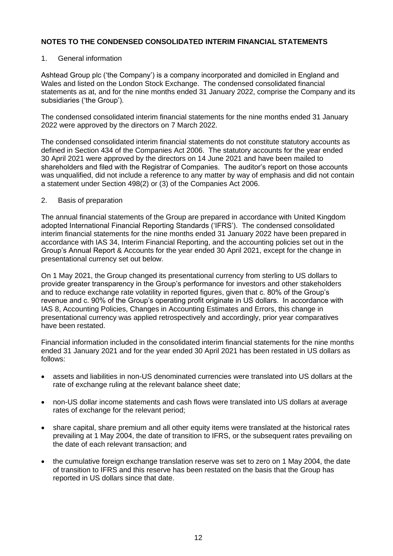### 1. General information

Ashtead Group plc ('the Company') is a company incorporated and domiciled in England and Wales and listed on the London Stock Exchange. The condensed consolidated financial statements as at, and for the nine months ended 31 January 2022, comprise the Company and its subsidiaries ('the Group').

The condensed consolidated interim financial statements for the nine months ended 31 January 2022 were approved by the directors on 7 March 2022.

The condensed consolidated interim financial statements do not constitute statutory accounts as defined in Section 434 of the Companies Act 2006. The statutory accounts for the year ended 30 April 2021 were approved by the directors on 14 June 2021 and have been mailed to shareholders and filed with the Registrar of Companies. The auditor's report on those accounts was unqualified, did not include a reference to any matter by way of emphasis and did not contain a statement under Section 498(2) or (3) of the Companies Act 2006.

### 2. Basis of preparation

The annual financial statements of the Group are prepared in accordance with United Kingdom adopted International Financial Reporting Standards ('IFRS'). The condensed consolidated interim financial statements for the nine months ended 31 January 2022 have been prepared in accordance with IAS 34, Interim Financial Reporting, and the accounting policies set out in the Group's Annual Report & Accounts for the year ended 30 April 2021, except for the change in presentational currency set out below.

On 1 May 2021, the Group changed its presentational currency from sterling to US dollars to provide greater transparency in the Group's performance for investors and other stakeholders and to reduce exchange rate volatility in reported figures, given that c. 80% of the Group's revenue and c. 90% of the Group's operating profit originate in US dollars. In accordance with IAS 8, Accounting Policies, Changes in Accounting Estimates and Errors, this change in presentational currency was applied retrospectively and accordingly, prior year comparatives have been restated.

Financial information included in the consolidated interim financial statements for the nine months ended 31 January 2021 and for the year ended 30 April 2021 has been restated in US dollars as follows:

- assets and liabilities in non-US denominated currencies were translated into US dollars at the rate of exchange ruling at the relevant balance sheet date;
- non-US dollar income statements and cash flows were translated into US dollars at average rates of exchange for the relevant period;
- share capital, share premium and all other equity items were translated at the historical rates prevailing at 1 May 2004, the date of transition to IFRS, or the subsequent rates prevailing on the date of each relevant transaction; and
- the cumulative foreign exchange translation reserve was set to zero on 1 May 2004, the date of transition to IFRS and this reserve has been restated on the basis that the Group has reported in US dollars since that date.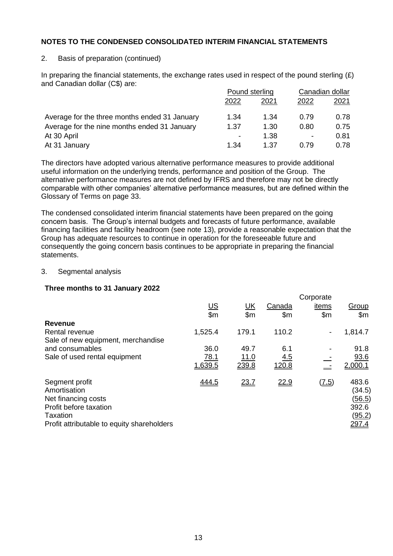## 2. Basis of preparation (continued)

In preparing the financial statements, the exchange rates used in respect of the pound sterling  $(E)$ and Canadian dollar (C\$) are:

|                                               | Pound sterling           |      | Canadian dollar          |      |
|-----------------------------------------------|--------------------------|------|--------------------------|------|
|                                               | 2022                     | 2021 | 2022                     | 2021 |
| Average for the three months ended 31 January | 1.34                     | 1.34 | 0.79                     | 0.78 |
| Average for the nine months ended 31 January  | 1.37                     | 1.30 | 0.80                     | 0.75 |
| At 30 April                                   | $\overline{\phantom{a}}$ | 1.38 | $\overline{\phantom{0}}$ | 0.81 |
| At 31 January                                 | 1.34                     | 1.37 | 0.79                     | 0.78 |

The directors have adopted various alternative performance measures to provide additional useful information on the underlying trends, performance and position of the Group. The alternative performance measures are not defined by IFRS and therefore may not be directly comparable with other companies' alternative performance measures, but are defined within the Glossary of Terms on page 33.

The condensed consolidated interim financial statements have been prepared on the going concern basis. The Group's internal budgets and forecasts of future performance, available financing facilities and facility headroom (see note 13), provide a reasonable expectation that the Group has adequate resources to continue in operation for the foreseeable future and consequently the going concern basis continues to be appropriate in preparing the financial statements.

### 3. Segmental analysis

## **Three months to 31 January 2022**

|                                                                                                                                           |           |             |                | Corporate                    |                                                                     |
|-------------------------------------------------------------------------------------------------------------------------------------------|-----------|-------------|----------------|------------------------------|---------------------------------------------------------------------|
|                                                                                                                                           | <u>US</u> | <u>UК</u>   | Canada         | items                        | <b>Group</b>                                                        |
|                                                                                                                                           | \$m\$     | \$m         | $\mathsf{S}$ m | \$m                          | $\mathsf{Sm}$                                                       |
| <b>Revenue</b>                                                                                                                            |           |             |                |                              |                                                                     |
| Rental revenue                                                                                                                            | 1,525.4   | 179.1       | 110.2          | $\qquad \qquad \blacksquare$ | 1,814.7                                                             |
| Sale of new equipment, merchandise                                                                                                        |           |             |                |                              |                                                                     |
| and consumables                                                                                                                           | 36.0      | 49.7        | 6.1            |                              | 91.8                                                                |
| Sale of used rental equipment                                                                                                             | 78.1      | <u>11.0</u> | 4.5            |                              | 93.6                                                                |
|                                                                                                                                           | 1,639.5   | 239.8       | 120.8          |                              | 2,000.1                                                             |
| Segment profit<br>Amortisation<br>Net financing costs<br>Profit before taxation<br>Taxation<br>Profit attributable to equity shareholders | 444.5     | 23.7        | 22.9           | $(\underline{7.5})$          | 483.6<br>(34.5)<br><u>(56.5)</u><br>392.6<br><u>(95.2)</u><br>297.4 |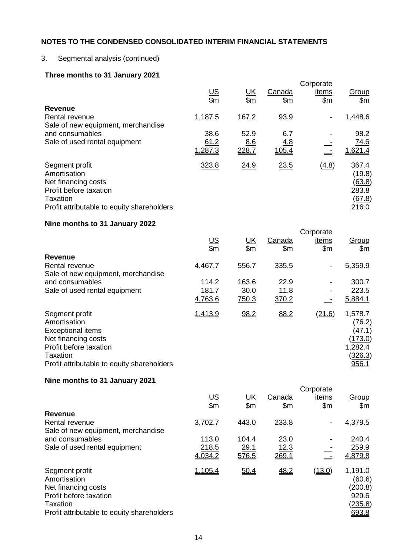# 3. Segmental analysis (continued)

# **Three months to 31 January 2021**

|                                                                                                                                           |                       |           |               | Corporate                |                                                       |
|-------------------------------------------------------------------------------------------------------------------------------------------|-----------------------|-----------|---------------|--------------------------|-------------------------------------------------------|
|                                                                                                                                           | $rac{\text{US}}{\$m}$ | <u>UК</u> | Canada        | items                    | Group                                                 |
|                                                                                                                                           |                       | \$m\$     | $\mathsf{Sm}$ | \$m                      | $\mathsf{Sm}$                                         |
| <b>Revenue</b>                                                                                                                            |                       |           |               |                          |                                                       |
| Rental revenue                                                                                                                            | 1,187.5               | 167.2     | 93.9          | $\overline{\phantom{a}}$ | 1,448.6                                               |
| Sale of new equipment, merchandise                                                                                                        |                       |           |               |                          |                                                       |
| and consumables                                                                                                                           | 38.6                  | 52.9      | 6.7           |                          | 98.2                                                  |
| Sale of used rental equipment                                                                                                             | 61.2                  | 8.6       | <u>4.8</u>    |                          | <u>74.6</u>                                           |
|                                                                                                                                           | 1,287.3               | 228.7     | <u>105.4</u>  |                          | 1,621.4                                               |
| Segment profit<br>Amortisation<br>Net financing costs<br>Profit before taxation<br>Taxation<br>Profit attributable to equity shareholders | 323.8                 | 24.9      | 23.5          | (4.8)                    | 367.4<br>(19.8)<br>(63.8)<br>283.8<br>(67.8)<br>216.0 |

# **Nine months to 31 January 2022**

|                                            |                       |                    |               | Corporate                |                   |
|--------------------------------------------|-----------------------|--------------------|---------------|--------------------------|-------------------|
|                                            | $rac{\text{US}}{\$m}$ | <u>UК</u><br>\$m\$ | Canada<br>\$m | items<br>\$m             | Group<br>\$m\$    |
| Revenue                                    |                       |                    |               |                          |                   |
| Rental revenue                             | 4,467.7               | 556.7              | 335.5         | $\overline{\phantom{a}}$ | 5,359.9           |
| Sale of new equipment, merchandise         |                       |                    |               |                          |                   |
| and consumables                            | 114.2                 | 163.6              | 22.9          |                          | 300.7             |
| Sale of used rental equipment              | 181.7                 | 30.0               | <u>11.8</u>   |                          | 223.5             |
|                                            | 4,763.6               | 750.3              | 370.2         |                          | 5,884.1           |
| Segment profit<br>Amortisation             | 1,413.9               | 98.2               | 88.2          | <u>(21.6)</u>            | 1,578.7<br>(76.2) |
| <b>Exceptional items</b>                   |                       |                    |               |                          | (47.1)            |
| Net financing costs                        |                       |                    |               |                          | (173.0)           |
| Profit before taxation                     |                       |                    |               |                          | 1,282.4           |
| <b>Taxation</b>                            |                       |                    |               |                          | <u>(326.3)</u>    |
| Profit attributable to equity shareholders |                       |                    |               |                          | 956.1             |

# **Nine months to 31 January 2021**

|                                                                                                                                           |                       |                  |                         | Corporate                    |                                                                         |
|-------------------------------------------------------------------------------------------------------------------------------------------|-----------------------|------------------|-------------------------|------------------------------|-------------------------------------------------------------------------|
|                                                                                                                                           | $rac{\text{US}}{\$m}$ | <u>UК</u><br>\$m | Canada<br>$\mathsf{Sm}$ | items<br>$\mathsf{Sm}$       | Group<br>$\mathsf{Sm}$                                                  |
| <b>Revenue</b>                                                                                                                            |                       |                  |                         |                              |                                                                         |
| Rental revenue                                                                                                                            | 3,702.7               | 443.0            | 233.8                   | $\qquad \qquad \blacksquare$ | 4,379.5                                                                 |
| Sale of new equipment, merchandise                                                                                                        |                       |                  |                         |                              |                                                                         |
| and consumables                                                                                                                           | 113.0                 | 104.4            | 23.0                    |                              | 240.4                                                                   |
| Sale of used rental equipment                                                                                                             | 218.5                 | 29.1             | 12.3                    |                              | 259.9                                                                   |
|                                                                                                                                           | 4,034.2               | 576.5            | 269.1                   |                              | 4,879.8                                                                 |
| Segment profit<br>Amortisation<br>Net financing costs<br>Profit before taxation<br>Taxation<br>Profit attributable to equity shareholders | 1,105.4               | 50.4             | 48.2                    | <u>(13.0)</u>                | 1,191.0<br>(60.6)<br><u>(200.8)</u><br>929.6<br><u>(235.8)</u><br>693.8 |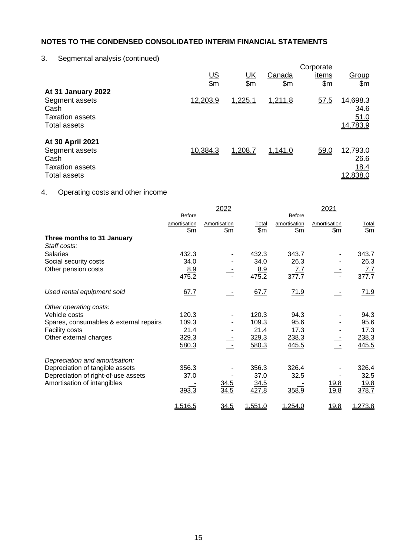# 3. Segmental analysis (continued)

| At 31 January 2022                                                                          | <u>US</u><br>\$m | <u>UК</u><br>\$m\$ | Canada<br>\$m  | Corporate<br><u>items</u><br>\$m | Group<br>\$m\$                       |
|---------------------------------------------------------------------------------------------|------------------|--------------------|----------------|----------------------------------|--------------------------------------|
| Segment assets<br>Cash<br><b>Taxation assets</b><br><b>Total assets</b>                     | 12,203.9         | 1,225.1            | <u>1,211.8</u> | 57.5                             | 14,698.3<br>34.6<br>51.0<br>14,783.9 |
| At 30 April 2021<br>Segment assets<br>Cash<br><b>Taxation assets</b><br><b>Total assets</b> | 10,384.3         | 1,208.7            | 1,141.0        | 59.0                             | 12,793.0<br>26.6<br>18.4<br>12,838.0 |

# 4. Operating costs and other income

|                                        |               | <u>2022</u>              |              |               | <u> 2021</u> |              |
|----------------------------------------|---------------|--------------------------|--------------|---------------|--------------|--------------|
|                                        | <b>Before</b> |                          |              | <b>Before</b> |              |              |
|                                        | amortisation  | Amortisation             | <b>Total</b> | amortisation  | Amortisation | <b>Total</b> |
|                                        | \$m           | \$m\$                    | \$m\$        | \$m\$         | \$m\$        | \$m\$        |
| Three months to 31 January             |               |                          |              |               |              |              |
| Staff costs:                           |               |                          |              |               |              |              |
| <b>Salaries</b>                        | 432.3         | $\overline{\phantom{a}}$ | 432.3        | 343.7         |              | 343.7        |
| Social security costs                  | 34.0          |                          | 34.0         | 26.3          |              | 26.3         |
| Other pension costs                    | 8.9           |                          | 8.9          | 7.7           |              | 7.7          |
|                                        | 475.2         |                          | 475.2        | 377.7         |              | 377.7        |
| Used rental equipment sold             | 67.7          |                          | 67.7         | 71.9          |              | 71.9         |
| Other operating costs:                 |               |                          |              |               |              |              |
| Vehicle costs                          | 120.3         | ٠                        | 120.3        | 94.3          |              | 94.3         |
| Spares, consumables & external repairs | 109.3         |                          | 109.3        | 95.6          |              | 95.6         |
| Facility costs                         | 21.4          |                          | 21.4         | 17.3          |              | 17.3         |
| Other external charges                 | 329.3         |                          | 329.3        | 238.3         |              | 238.3        |
|                                        | 580.3         |                          | 580.3        | 445.5         |              | 445.5        |
| Depreciation and amortisation:         |               |                          |              |               |              |              |
| Depreciation of tangible assets        | 356.3         |                          | 356.3        | 326.4         |              | 326.4        |
| Depreciation of right-of-use assets    | 37.0          |                          | 37.0         | 32.5          |              | 32.5         |
| Amortisation of intangibles            |               | <u>34.5</u>              | 34.5         |               | <u>19.8</u>  | 19.8         |
|                                        | 393.3         | 34.5                     | 427.8        | 358.9         | 19.8         | 378.7        |
|                                        | 1,516.5       | 34.5                     | 1,551.0      | 1,254.0       | 19.8         | 1,273.8      |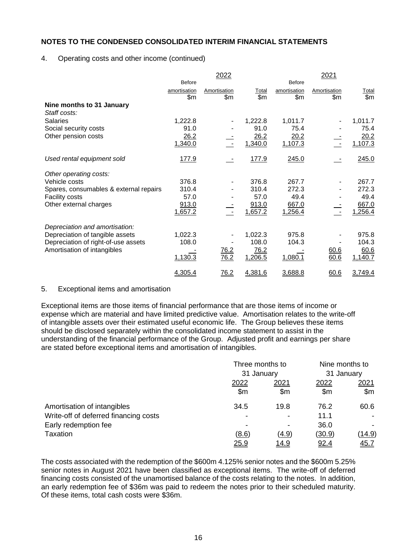### 4. Operating costs and other income (continued)

|                                        |               | 2022         |         |               | 2021         |              |
|----------------------------------------|---------------|--------------|---------|---------------|--------------|--------------|
|                                        | <b>Before</b> |              |         | <b>Before</b> |              |              |
|                                        | amortisation  | Amortisation | Total   | amortisation  | Amortisation | <b>Total</b> |
|                                        | \$m           | \$m\$        | \$m     | \$m\$         | \$m          | \$m\$        |
| Nine months to 31 January              |               |              |         |               |              |              |
| Staff costs:                           |               |              |         |               |              |              |
| <b>Salaries</b>                        | 1,222.8       | ٠            | 1,222.8 | 1,011.7       |              | 1,011.7      |
| Social security costs                  | 91.0          |              | 91.0    | 75.4          |              | 75.4         |
| Other pension costs                    | 26.2          |              | 26.2    | 20.2          |              | 20.2         |
|                                        | 1,340.0       |              | 1,340.0 | 1,107.3       |              | 1,107.3      |
| Used rental equipment sold             | 177.9         |              | 177.9   | 245.0         |              | 245.0        |
| Other operating costs:                 |               |              |         |               |              |              |
| Vehicle costs                          | 376.8         |              | 376.8   | 267.7         |              | 267.7        |
| Spares, consumables & external repairs | 310.4         |              | 310.4   | 272.3         |              | 272.3        |
| <b>Facility costs</b>                  | 57.0          |              | 57.0    | 49.4          |              | 49.4         |
| Other external charges                 | 913.0         |              | 913.0   | 667.0         |              | 667.0        |
|                                        | 1,657.2       |              | 1,657.2 | 1,256.4       |              | 1,256.4      |
| Depreciation and amortisation:         |               |              |         |               |              |              |
| Depreciation of tangible assets        | 1,022.3       | ٠            | 1,022.3 | 975.8         |              | 975.8        |
| Depreciation of right-of-use assets    | 108.0         |              | 108.0   | 104.3         |              | 104.3        |
| Amortisation of intangibles            |               | 76.2         | 76.2    |               | 60.6         | 60.6         |
|                                        | 1,130.3       | 76.2         | 1,206.5 | 1,080.1       | 60.6         | 1,140.7      |
|                                        | 4,305.4       | 76.2         | 4,381.6 | 3,688.8       | 60.6         | 3,749.4      |

#### 5. Exceptional items and amortisation

Exceptional items are those items of financial performance that are those items of income or expense which are material and have limited predictive value. Amortisation relates to the write-off of intangible assets over their estimated useful economic life. The Group believes these items should be disclosed separately within the consolidated income statement to assist in the understanding of the financial performance of the Group. Adjusted profit and earnings per share are stated before exceptional items and amortisation of intangibles.

|                                       | Three months to<br>31 January |              | Nine months to<br>31 January |               |
|---------------------------------------|-------------------------------|--------------|------------------------------|---------------|
|                                       |                               |              |                              |               |
|                                       | 2022                          | 2021         | 2022                         | 2021          |
|                                       | \$m\$                         | \$m          | \$m                          | \$m\$         |
| Amortisation of intangibles           | 34.5                          | 19.8         | 76.2                         | 60.6          |
| Write-off of deferred financing costs |                               |              | 11.1                         |               |
| Early redemption fee                  |                               |              | 36.0                         |               |
| Taxation                              | (8.6)                         | <u>(4.9)</u> | <u>(30.9)</u>                | <u>(14.9)</u> |
|                                       | <u> 25.9</u>                  | <u> 14.9</u> | <u>92.4</u>                  | 45.7          |

The costs associated with the redemption of the \$600m 4.125% senior notes and the \$600m 5.25% senior notes in August 2021 have been classified as exceptional items. The write-off of deferred financing costs consisted of the unamortised balance of the costs relating to the notes. In addition, an early redemption fee of \$36m was paid to redeem the notes prior to their scheduled maturity. Of these items, total cash costs were \$36m.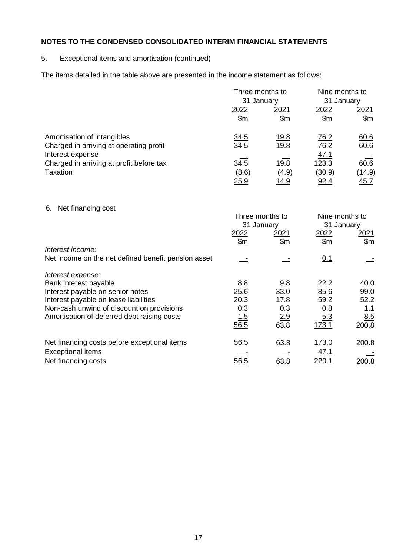# 5. Exceptional items and amortisation (continued)

The items detailed in the table above are presented in the income statement as follows:

|                                          | Three months to<br>31 January |              | Nine months to<br>31 January |               |
|------------------------------------------|-------------------------------|--------------|------------------------------|---------------|
|                                          |                               |              |                              |               |
|                                          | 2022                          | 2021         | 2022                         | <u> 2021</u>  |
|                                          | \$m                           | \$m          | \$m                          | \$m\$         |
| Amortisation of intangibles              | 34.5                          | <u>19.8</u>  | 76.2                         | 60.6          |
| Charged in arriving at operating profit  | 34.5                          | 19.8         | 76.2                         | 60.6          |
| Interest expense                         |                               |              | <u>47.1</u>                  |               |
| Charged in arriving at profit before tax | 34.5                          | 19.8         | 123.3                        | 60.6          |
| Taxation                                 | (8.6)                         | <u>(4.9)</u> | <u>(30.9)</u>                | <u>(14.9)</u> |
|                                          | <u> 25.9</u>                  | <u> 14.9</u> | 92.4                         | <u>45.7</u>   |

# 6. Net financing cost

|                                                     | Three months to |      | Nine months to |               |
|-----------------------------------------------------|-----------------|------|----------------|---------------|
|                                                     | 31 January      |      | 31 January     |               |
|                                                     | 2022            | 2021 | 2022           | 2021          |
|                                                     | \$m\$           | \$m  | $\mathsf{Sm}$  | $\mathsf{Sm}$ |
| Interest income:                                    |                 |      |                |               |
| Net income on the net defined benefit pension asset |                 |      | 0.1            |               |
| Interest expense:                                   |                 |      |                |               |
| Bank interest payable                               | 8.8             | 9.8  | 22.2           | 40.0          |
| Interest payable on senior notes                    | 25.6            | 33.0 | 85.6           | 99.0          |
| Interest payable on lease liabilities               | 20.3            | 17.8 | 59.2           | 52.2          |
| Non-cash unwind of discount on provisions           | 0.3             | 0.3  | 0.8            | 1.1           |
| Amortisation of deferred debt raising costs         | <u>1.5</u>      | 2.9  | 5.3            | 8.5           |
|                                                     | 56.5            | 63.8 | 173.1          | 200.8         |
| Net financing costs before exceptional items        | 56.5            | 63.8 | 173.0          | 200.8         |
| <b>Exceptional items</b>                            |                 |      | 47.1           |               |
| Net financing costs                                 | 56.5            | 63.8 | <u>220.1</u>   | 200.8         |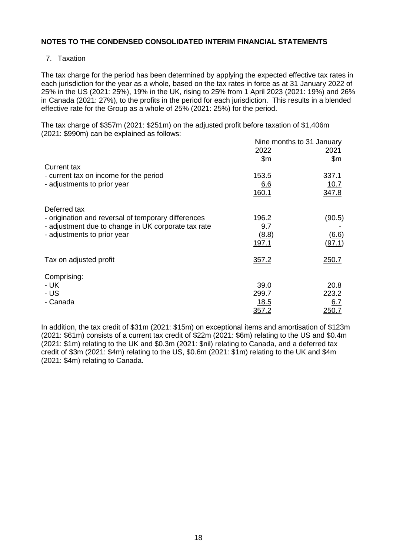# 7. Taxation

The tax charge for the period has been determined by applying the expected effective tax rates in each jurisdiction for the year as a whole, based on the tax rates in force as at 31 January 2022 of 25% in the US (2021: 25%), 19% in the UK, rising to 25% from 1 April 2023 (2021: 19%) and 26% in Canada (2021: 27%), to the profits in the period for each jurisdiction. This results in a blended effective rate for the Group as a whole of 25% (2021: 25%) for the period.

The tax charge of \$357m (2021: \$251m) on the adjusted profit before taxation of \$1,406m (2021: \$990m) can be explained as follows:

|                                                     | Nine months to 31 January |                |  |
|-----------------------------------------------------|---------------------------|----------------|--|
|                                                     | 2022                      | 2021           |  |
| Current tax                                         | \$m                       | \$m\$          |  |
| - current tax on income for the period              | 153.5                     | 337.1          |  |
| - adjustments to prior year                         | <u>6.6</u><br>160.1       | 10.7<br>347.8  |  |
| Deferred tax                                        |                           |                |  |
| - origination and reversal of temporary differences | 196.2                     | (90.5)         |  |
| - adjustment due to change in UK corporate tax rate | 9.7                       |                |  |
| - adjustments to prior year                         | (8.8)<br><u>197.1</u>     | 6.6)<br>(97.1) |  |
|                                                     |                           |                |  |
| Tax on adjusted profit                              | 357.2                     | 250.7          |  |
| Comprising:                                         |                           |                |  |
| - UK                                                | 39.0                      | 20.8           |  |
| - US                                                | 299.7                     | 223.2          |  |
| - Canada                                            | <u> 18.5</u>              | 6.7            |  |
|                                                     | 357.2                     | <u> 250.7</u>  |  |

In addition, the tax credit of \$31m (2021: \$15m) on exceptional items and amortisation of \$123m (2021: \$61m) consists of a current tax credit of \$22m (2021: \$6m) relating to the US and \$0.4m (2021: \$1m) relating to the UK and \$0.3m (2021: \$nil) relating to Canada, and a deferred tax credit of \$3m (2021: \$4m) relating to the US, \$0.6m (2021: \$1m) relating to the UK and \$4m (2021: \$4m) relating to Canada.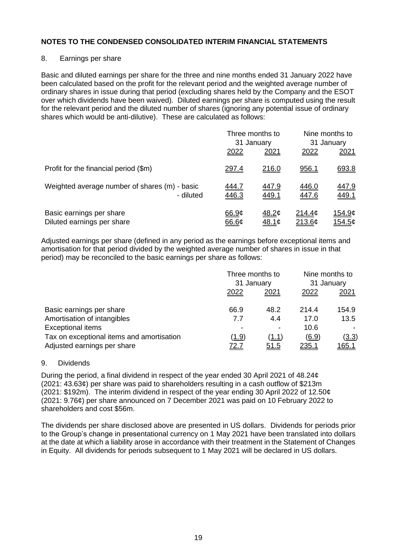### 8. Earnings per share

Basic and diluted earnings per share for the three and nine months ended 31 January 2022 have been calculated based on the profit for the relevant period and the weighted average number of ordinary shares in issue during that period (excluding shares held by the Company and the ESOT over which dividends have been waived). Diluted earnings per share is computed using the result for the relevant period and the diluted number of shares (ignoring any potential issue of ordinary shares which would be anti-dilutive). These are calculated as follows:

|                                                            | Three months to<br>31 January |                | Nine months to<br>31 January |                          |
|------------------------------------------------------------|-------------------------------|----------------|------------------------------|--------------------------|
|                                                            | 2022                          | 2021           | 2022                         | <u>2021</u>              |
| Profit for the financial period (\$m)                      | <u>297.4</u>                  | 216.0          | 956.1                        | 693.8                    |
| Weighted average number of shares (m) - basic<br>- diluted | 444.7<br>446.3                | 447.9<br>449.1 | 446.0<br>447.6               | 447.9<br>449.1           |
| Basic earnings per share<br>Diluted earnings per share     | 66.9 <sub>¢</sub><br>66.6¢    | 48.2¢<br>48.1¢ | 214.4¢<br>213.6¢             | <u> 154.9¢</u><br>154.5¢ |

Adjusted earnings per share (defined in any period as the earnings before exceptional items and amortisation for that period divided by the weighted average number of shares in issue in that period) may be reconciled to the basic earnings per share as follows:

|                                           | Three months to<br>31 January |                          | Nine months to<br>31 January |              |
|-------------------------------------------|-------------------------------|--------------------------|------------------------------|--------------|
|                                           |                               |                          |                              |              |
|                                           | 2022                          | 2021                     | 2022                         | 2021         |
| Basic earnings per share                  | 66.9                          | 48.2                     | 214.4                        | 154.9        |
| Amortisation of intangibles               | 7.7                           | 4.4                      | 17.0                         | 13.5         |
| <b>Exceptional items</b>                  |                               | $\overline{\phantom{0}}$ | 10.6                         |              |
| Tax on exceptional items and amortisation | (1.9)                         | (1.1)                    | (6.9)                        | (3.3)        |
| Adjusted earnings per share               | <u>72.7</u>                   | <u>51.5</u>              | <u> 235.1</u>                | <u>165.1</u> |

#### 9. Dividends

During the period, a final dividend in respect of the year ended 30 April 2021 of 48.24¢ (2021: 43.63¢) per share was paid to shareholders resulting in a cash outflow of \$213m (2021: \$192m). The interim dividend in respect of the year ending 30 April 2022 of 12.50¢ (2021: 9.76¢) per share announced on 7 December 2021 was paid on 10 February 2022 to shareholders and cost \$56m.

The dividends per share disclosed above are presented in US dollars. Dividends for periods prior to the Group's change in presentational currency on 1 May 2021 have been translated into dollars at the date at which a liability arose in accordance with their treatment in the Statement of Changes in Equity. All dividends for periods subsequent to 1 May 2021 will be declared in US dollars.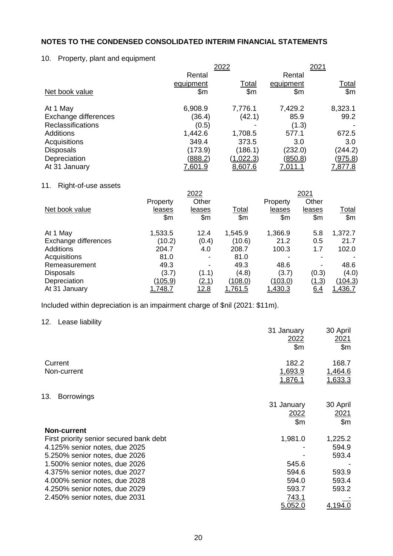## 10. Property, plant and equipment

|                          | 2022           | 2021         |                |                |  |
|--------------------------|----------------|--------------|----------------|----------------|--|
|                          | Rental         |              | Rental         |                |  |
|                          | equipment      | <b>Total</b> | equipment      | <u>Total</u>   |  |
| Net book value           | \$m            | \$m          | $\mathsf{S}$ m | \$m\$          |  |
| At 1 May                 | 6,908.9        | 7,776.1      | 7,429.2        | 8,323.1        |  |
| Exchange differences     | (36.4)         | (42.1)       | 85.9           | 99.2           |  |
| <b>Reclassifications</b> | (0.5)          |              | (1.3)          |                |  |
| <b>Additions</b>         | 1,442.6        | 1,708.5      | 577.1          | 672.5          |  |
| Acquisitions             | 349.4          | 373.5        | 3.0            | 3.0            |  |
| <b>Disposals</b>         | (173.9)        | (186.1)      | (232.0)        | (244.2)        |  |
| Depreciation             | (888.2)        | (1,022.3)    | (850.8)        | (975.8)        |  |
| At 31 January            | <u>7,601.9</u> | 8,607.6      | <u>7.011.1</u> | <u>7,877.8</u> |  |

# 11. Right-of-use assets

| 2022                                               | 2021                    |              |
|----------------------------------------------------|-------------------------|--------------|
| Other<br>Property                                  | Other<br>Property       |              |
| Total<br>Net book value<br>leases<br>leases        | leases<br>leases        | <u>Total</u> |
| \$m<br>\$m                                         | \$m\$<br>\$m<br>\$m     | \$m\$        |
| At 1 May<br>1,533.5<br>1,545.9<br>12.4             | 1,366.9<br>5.8          | 1,372.7      |
| (10.2)<br>(0.4)<br>Exchange differences<br>(10.6)  | 21.2<br>0.5             | 21.7         |
| <b>Additions</b><br>204.7<br>208.7<br>4.0          | 100.3<br>1.7            | 102.0        |
| Acquisitions<br>81.0<br>81.0<br>$\blacksquare$     |                         |              |
| 49.3<br>49.3<br>Remeasurement<br>$\blacksquare$    | 48.6                    | 48.6         |
| (3.7)<br>(1.1)<br><b>Disposals</b>                 | (3.7)<br>(0.3)<br>(4.8) | (4.0)        |
| (105.9)<br>(108.0)<br>Depreciation<br><u>(2.1)</u> | (103.0)<br>(1.3)        | (104.3)      |
| 1,748.7<br><u>12.8</u><br>1,761.5<br>At 31 January | 1,430.3<br>6.4          | 1,436.7      |

Included within depreciation is an impairment charge of \$nil (2021: \$11m).

# 12. Lease liability

|                                         | 31 January<br>2022<br>\$m          | 30 April<br><u>2021</u><br>\$m\$ |
|-----------------------------------------|------------------------------------|----------------------------------|
| Current<br>Non-current                  | 182.2<br>1,693.9<br><u>1,876.1</u> | 168.7<br>1,464.6<br>1,633.3      |
| 13.<br><b>Borrowings</b>                |                                    |                                  |
|                                         | 31 January                         | 30 April                         |
|                                         | <u>2022</u>                        | 2021                             |
|                                         | $\mathsf{Sm}$                      | \$m\$                            |
| <b>Non-current</b>                      |                                    |                                  |
| First priority senior secured bank debt | 1,981.0                            | 1,225.2                          |
| 4.125% senior notes, due 2025           |                                    | 594.9                            |
| 5.250% senior notes, due 2026           |                                    | 593.4                            |
| 1.500% senior notes, due 2026           | 545.6                              |                                  |
| 4.375% senior notes, due 2027           | 594.6                              | 593.9                            |
| 4.000% senior notes, due 2028           | 594.0                              | 593.4                            |
| 4.250% senior notes, due 2029           | 593.7                              | 593.2                            |
| 2.450% senior notes, due 2031           | 743.1                              |                                  |
|                                         | 5,052.0                            | 4,194.0                          |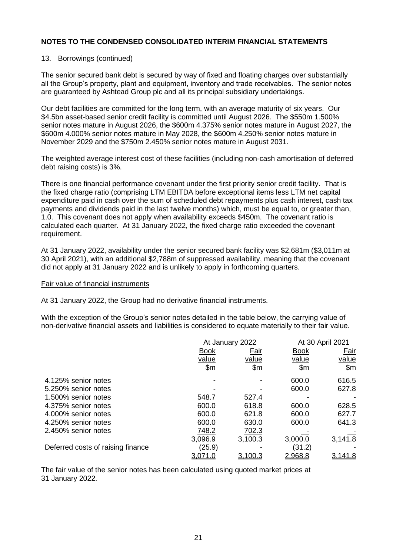### 13. Borrowings (continued)

The senior secured bank debt is secured by way of fixed and floating charges over substantially all the Group's property, plant and equipment, inventory and trade receivables. The senior notes are guaranteed by Ashtead Group plc and all its principal subsidiary undertakings.

Our debt facilities are committed for the long term, with an average maturity of six years. Our \$4.5bn asset-based senior credit facility is committed until August 2026. The \$550m 1.500% senior notes mature in August 2026, the \$600m 4.375% senior notes mature in August 2027, the \$600m 4.000% senior notes mature in May 2028, the \$600m 4.250% senior notes mature in November 2029 and the \$750m 2.450% senior notes mature in August 2031.

The weighted average interest cost of these facilities (including non-cash amortisation of deferred debt raising costs) is 3%.

There is one financial performance covenant under the first priority senior credit facility. That is the fixed charge ratio (comprising LTM EBITDA before exceptional items less LTM net capital expenditure paid in cash over the sum of scheduled debt repayments plus cash interest, cash tax payments and dividends paid in the last twelve months) which, must be equal to, or greater than, 1.0. This covenant does not apply when availability exceeds \$450m. The covenant ratio is calculated each quarter. At 31 January 2022, the fixed charge ratio exceeded the covenant requirement.

At 31 January 2022, availability under the senior secured bank facility was \$2,681m (\$3,011m at 30 April 2021), with an additional \$2,788m of suppressed availability, meaning that the covenant did not apply at 31 January 2022 and is unlikely to apply in forthcoming quarters.

#### Fair value of financial instruments

At 31 January 2022, the Group had no derivative financial instruments.

With the exception of the Group's senior notes detailed in the table below, the carrying value of non-derivative financial assets and liabilities is considered to equate materially to their fair value.

|                                   |                | At January 2022 |               | At 30 April 2021 |
|-----------------------------------|----------------|-----------------|---------------|------------------|
|                                   | <b>Book</b>    | Fair            | <b>Book</b>   | Fair             |
|                                   | value          | value           | value         | value            |
|                                   | $\mathsf{S}$ m | \$m             | $\mathsf{Sm}$ | $\mathsf{Sm}$    |
| 4.125% senior notes               |                |                 | 600.0         | 616.5            |
| 5.250% senior notes               |                |                 | 600.0         | 627.8            |
| 1.500% senior notes               | 548.7          | 527.4           |               |                  |
| 4.375% senior notes               | 600.0          | 618.8           | 600.0         | 628.5            |
| 4.000% senior notes               | 600.0          | 621.8           | 600.0         | 627.7            |
| 4.250% senior notes               | 600.0          | 630.0           | 600.0         | 641.3            |
| 2.450% senior notes               | 748.2          | 702.3           |               |                  |
|                                   | 3,096.9        | 3,100.3         | 3,000.0       | 3,141.8          |
| Deferred costs of raising finance | <u>(25.9)</u>  |                 | (31.2)        |                  |
|                                   | <u>3,071.0</u> | <u>3,100.3</u>  | 2,968.8       | 3.141.8          |

The fair value of the senior notes has been calculated using quoted market prices at 31 January 2022.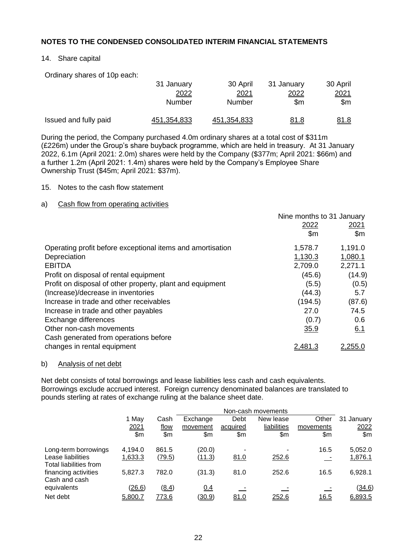### 14. Share capital

Ordinary shares of 10p each:

|                       | 31 January  | 30 April           | 31 January  | 30 April    |
|-----------------------|-------------|--------------------|-------------|-------------|
|                       | 2022        | 2021               | 2022        | 2021        |
|                       | Number      | Number             | \$m         | \$m         |
| Issued and fully paid | 451,354,833 | <u>451,354,833</u> | <u>81.8</u> | <u>81.8</u> |

During the period, the Company purchased 4.0m ordinary shares at a total cost of \$311m (£226m) under the Group's share buyback programme, which are held in treasury. At 31 January 2022, 6.1m (April 2021: 2.0m) shares were held by the Company (\$377m; April 2021: \$66m) and a further 1.2m (April 2021: 1.4m) shares were held by the Company's Employee Share Ownership Trust (\$45m; April 2021: \$37m).

### 15. Notes to the cash flow statement

### a) Cash flow from operating activities

| 2022           | <u> 2021</u>              |
|----------------|---------------------------|
| \$m            | $\mathsf{Sm}$             |
| 1,578.7        | 1,191.0                   |
| 1,130.3        | 1,080.1                   |
| 2,709.0        | 2,271.1                   |
| (45.6)         | (14.9)                    |
| (5.5)          | (0.5)                     |
| (44.3)         | 5.7                       |
| (194.5)        | (87.6)                    |
| 27.0           | 74.5                      |
| (0.7)          | 0.6                       |
| 35.9           | 6.1                       |
|                |                           |
| $2.48^{\circ}$ | 2. <u>255.0</u>           |
|                | Nine months to 31 January |

#### b) Analysis of net debt

Net debt consists of total borrowings and lease liabilities less cash and cash equivalents. Borrowings exclude accrued interest. Foreign currency denominated balances are translated to pounds sterling at rates of exchange ruling at the balance sheet date.

|                                             |         | Non-cash movements |          |          |             |             |            |
|---------------------------------------------|---------|--------------------|----------|----------|-------------|-------------|------------|
|                                             | 1 May   | Cash               | Exchange | Debt     | New lease   | Other       | 31 January |
|                                             | 2021    | flow               | movement | acquired | liabilities | movements   | 2022       |
|                                             | \$m\$   | \$m\$              | \$m      | \$m      | \$m         | \$m         | \$m        |
| Long-term borrowings                        | 4,194.0 | 861.5              | (20.0)   |          | ۰           | 16.5        | 5,052.0    |
| Lease liabilities<br>Total liabilities from | 1,633.3 | (79.5)             | (11.3)   | 81.0     | 252.6       |             | 1,876.1    |
| financing activities<br>Cash and cash       | 5,827.3 | 782.0              | (31.3)   | 81.0     | 252.6       | 16.5        | 6,928.1    |
| equivalents                                 | (26.6)  | (8.4)              | 0.4      |          |             |             | (34.6)     |
| Net debt                                    | 5,800.7 | 773.6              | (30.9)   | 81.0     | 252.6       | <u>16.5</u> | 6,893.5    |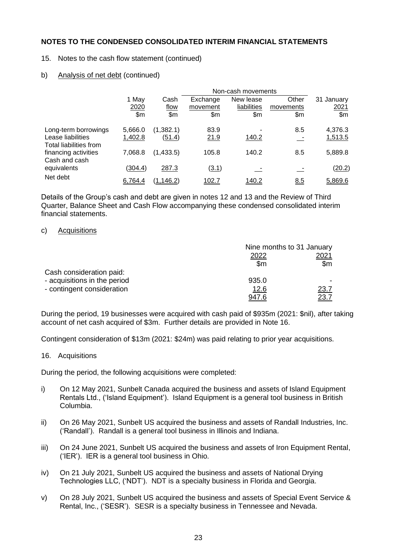### 15. Notes to the cash flow statement (continued)

### b) Analysis of net debt (continued)

|                                                                 |         | Non-cash movements |          |              |           |            |  |  |
|-----------------------------------------------------------------|---------|--------------------|----------|--------------|-----------|------------|--|--|
|                                                                 | 1 May   | Cash               | Exchange | New lease    | Other     | 31 January |  |  |
|                                                                 | 2020    | flow               | movement | liabilities  | movements | 2021       |  |  |
|                                                                 | \$m\$   | \$m\$              | \$m\$    | \$m\$        | \$m\$     | \$m\$      |  |  |
| Long-term borrowings                                            | 5,666.0 | (1,382.1)          | 83.9     |              | 8.5       | 4,376.3    |  |  |
| Lease liabilities                                               | 1,402.8 | (51.4)             | 21.9     | 140.2        |           | 1,513.5    |  |  |
| Total liabilities from<br>financing activities<br>Cash and cash | 7,068.8 | (1,433.5)          | 105.8    | 140.2        | 8.5       | 5,889.8    |  |  |
| equivalents                                                     | (304.4) | 287.3              | (3.1)    |              |           | (20.2)     |  |  |
| Net debt                                                        | 6,764.4 | <u>(1,146.2)</u>   | 102.7    | <u>140.2</u> | 8.5       | 5,869.6    |  |  |

Details of the Group's cash and debt are given in notes 12 and 13 and the Review of Third Quarter, Balance Sheet and Cash Flow accompanying these condensed consolidated interim financial statements.

#### c) Acquisitions

|                              | Nine months to 31 January |                |  |
|------------------------------|---------------------------|----------------|--|
|                              | 2022                      | 2021           |  |
|                              | \$m                       | $\mathsf{S}$ m |  |
| Cash consideration paid:     |                           |                |  |
| - acquisitions in the period | 935.0                     |                |  |
| - contingent consideration   | <u>12.6</u>               | <u>23.7</u>    |  |
|                              | 947.6                     |                |  |

During the period, 19 businesses were acquired with cash paid of \$935m (2021: \$nil), after taking account of net cash acquired of \$3m. Further details are provided in Note 16.

Contingent consideration of \$13m (2021: \$24m) was paid relating to prior year acquisitions.

#### 16. Acquisitions

During the period, the following acquisitions were completed:

- i) On 12 May 2021, Sunbelt Canada acquired the business and assets of Island Equipment Rentals Ltd., ('Island Equipment'). Island Equipment is a general tool business in British Columbia.
- ii) On 26 May 2021, Sunbelt US acquired the business and assets of Randall Industries, Inc. ('Randall'). Randall is a general tool business in Illinois and Indiana.
- iii) On 24 June 2021, Sunbelt US acquired the business and assets of Iron Equipment Rental, ('IER'). IER is a general tool business in Ohio.
- iv) On 21 July 2021, Sunbelt US acquired the business and assets of National Drying Technologies LLC, ('NDT'). NDT is a specialty business in Florida and Georgia.
- v) On 28 July 2021, Sunbelt US acquired the business and assets of Special Event Service & Rental, Inc., ('SESR'). SESR is a specialty business in Tennessee and Nevada.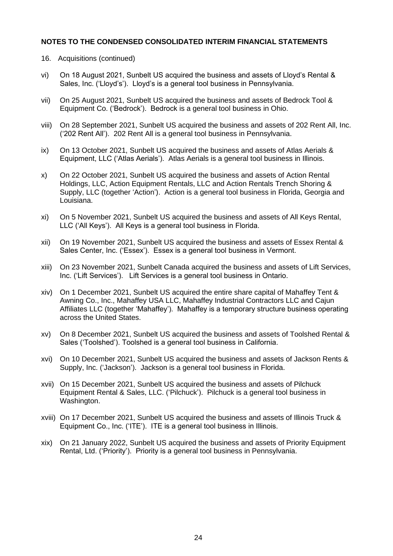- 16. Acquisitions (continued)
- vi) On 18 August 2021, Sunbelt US acquired the business and assets of Lloyd's Rental & Sales, Inc. ('Lloyd's'). Lloyd's is a general tool business in Pennsylvania.
- vii) On 25 August 2021, Sunbelt US acquired the business and assets of Bedrock Tool & Equipment Co. ('Bedrock'). Bedrock is a general tool business in Ohio.
- viii) On 28 September 2021, Sunbelt US acquired the business and assets of 202 Rent All, Inc. ('202 Rent All'). 202 Rent All is a general tool business in Pennsylvania.
- ix) On 13 October 2021, Sunbelt US acquired the business and assets of Atlas Aerials & Equipment, LLC ('Atlas Aerials'). Atlas Aerials is a general tool business in Illinois.
- x) On 22 October 2021, Sunbelt US acquired the business and assets of Action Rental Holdings, LLC, Action Equipment Rentals, LLC and Action Rentals Trench Shoring & Supply, LLC (together 'Action'). Action is a general tool business in Florida, Georgia and Louisiana.
- xi) On 5 November 2021, Sunbelt US acquired the business and assets of All Keys Rental, LLC ('All Keys'). All Keys is a general tool business in Florida.
- xii) On 19 November 2021, Sunbelt US acquired the business and assets of Essex Rental & Sales Center, Inc. ('Essex'). Essex is a general tool business in Vermont.
- xiii) On 23 November 2021, Sunbelt Canada acquired the business and assets of Lift Services, Inc. ('Lift Services'). Lift Services is a general tool business in Ontario.
- xiv) On 1 December 2021, Sunbelt US acquired the entire share capital of Mahaffey Tent & Awning Co., Inc., Mahaffey USA LLC, Mahaffey Industrial Contractors LLC and Cajun Affiliates LLC (together 'Mahaffey'). Mahaffey is a temporary structure business operating across the United States.
- xv) On 8 December 2021, Sunbelt US acquired the business and assets of Toolshed Rental & Sales ('Toolshed'). Toolshed is a general tool business in California.
- xvi) On 10 December 2021, Sunbelt US acquired the business and assets of Jackson Rents & Supply, Inc. ('Jackson'). Jackson is a general tool business in Florida.
- xvii) On 15 December 2021, Sunbelt US acquired the business and assets of Pilchuck Equipment Rental & Sales, LLC. ('Pilchuck'). Pilchuck is a general tool business in Washington.
- xviii) On 17 December 2021, Sunbelt US acquired the business and assets of Illinois Truck & Equipment Co., Inc. ('ITE'). ITE is a general tool business in Illinois.
- xix) On 21 January 2022, Sunbelt US acquired the business and assets of Priority Equipment Rental, Ltd. ('Priority'). Priority is a general tool business in Pennsylvania.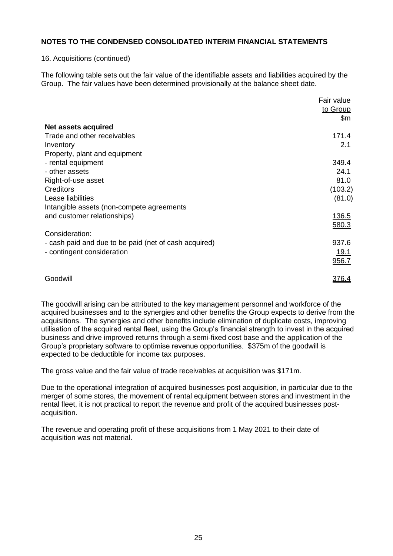### 16. Acquisitions (continued)

The following table sets out the fair value of the identifiable assets and liabilities acquired by the Group. The fair values have been determined provisionally at the balance sheet date.

|                                                       | Fair value   |
|-------------------------------------------------------|--------------|
|                                                       | to Group     |
|                                                       | \$m\$        |
| <b>Net assets acquired</b>                            |              |
| Trade and other receivables                           | 171.4        |
| Inventory                                             | 2.1          |
| Property, plant and equipment                         |              |
| - rental equipment                                    | 349.4        |
| - other assets                                        | 24.1         |
| Right-of-use asset                                    | 81.0         |
| <b>Creditors</b>                                      | (103.2)      |
| Lease liabilities                                     | (81.0)       |
| Intangible assets (non-compete agreements             |              |
| and customer relationships)                           | 136.5        |
|                                                       | 580.3        |
| Consideration:                                        |              |
| - cash paid and due to be paid (net of cash acquired) | 937.6        |
| - contingent consideration                            | 19.1         |
|                                                       | 956.7        |
| Goodwill                                              | <u>376.4</u> |

The goodwill arising can be attributed to the key management personnel and workforce of the acquired businesses and to the synergies and other benefits the Group expects to derive from the acquisitions. The synergies and other benefits include elimination of duplicate costs, improving utilisation of the acquired rental fleet, using the Group's financial strength to invest in the acquired business and drive improved returns through a semi-fixed cost base and the application of the Group's proprietary software to optimise revenue opportunities. \$375m of the goodwill is expected to be deductible for income tax purposes.

The gross value and the fair value of trade receivables at acquisition was \$171m.

Due to the operational integration of acquired businesses post acquisition, in particular due to the merger of some stores, the movement of rental equipment between stores and investment in the rental fleet, it is not practical to report the revenue and profit of the acquired businesses postacquisition.

The revenue and operating profit of these acquisitions from 1 May 2021 to their date of acquisition was not material.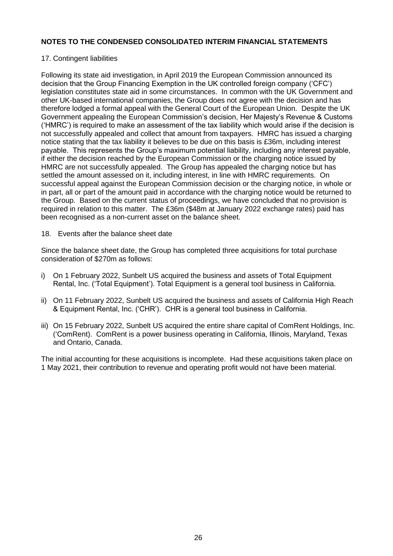## 17. Contingent liabilities

Following its state aid investigation, in April 2019 the European Commission announced its decision that the Group Financing Exemption in the UK controlled foreign company ('CFC') legislation constitutes state aid in some circumstances. In common with the UK Government and other UK-based international companies, the Group does not agree with the decision and has therefore lodged a formal appeal with the General Court of the European Union. Despite the UK Government appealing the European Commission's decision, Her Majesty's Revenue & Customs ('HMRC') is required to make an assessment of the tax liability which would arise if the decision is not successfully appealed and collect that amount from taxpayers. HMRC has issued a charging notice stating that the tax liability it believes to be due on this basis is £36m, including interest payable. This represents the Group's maximum potential liability, including any interest payable, if either the decision reached by the European Commission or the charging notice issued by HMRC are not successfully appealed. The Group has appealed the charging notice but has settled the amount assessed on it, including interest, in line with HMRC requirements. On successful appeal against the European Commission decision or the charging notice, in whole or in part, all or part of the amount paid in accordance with the charging notice would be returned to the Group. Based on the current status of proceedings, we have concluded that no provision is required in relation to this matter. The £36m (\$48m at January 2022 exchange rates) paid has been recognised as a non-current asset on the balance sheet.

18. Events after the balance sheet date

Since the balance sheet date, the Group has completed three acquisitions for total purchase consideration of \$270m as follows:

- i) On 1 February 2022, Sunbelt US acquired the business and assets of Total Equipment Rental, Inc. ('Total Equipment'). Total Equipment is a general tool business in California.
- ii) On 11 February 2022, Sunbelt US acquired the business and assets of California High Reach & Equipment Rental, Inc. ('CHR'). CHR is a general tool business in California.
- iii) On 15 February 2022, Sunbelt US acquired the entire share capital of ComRent Holdings, Inc. ('ComRent). ComRent is a power business operating in California, Illinois, Maryland, Texas and Ontario, Canada.

The initial accounting for these acquisitions is incomplete. Had these acquisitions taken place on 1 May 2021, their contribution to revenue and operating profit would not have been material.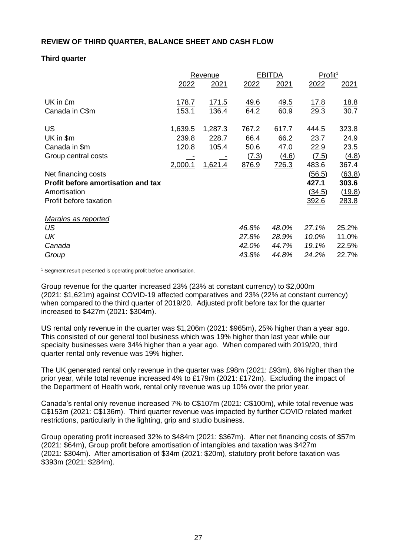## **REVIEW OF THIRD QUARTER, BALANCE SHEET AND CASH FLOW**

## **Third quarter**

|                                    |              | <b>Revenue</b> |             | <b>EBITDA</b> | Profit <sup>1</sup> |             |
|------------------------------------|--------------|----------------|-------------|---------------|---------------------|-------------|
|                                    | 2022         | 2021           | 2022        | 2021          | 2022                | 2021        |
| UK in £m                           | <u>178.7</u> | <u>171.5</u>   | <u>49.6</u> | <u>49.5</u>   | <u>17.8</u>         | <u>18.8</u> |
| Canada in C\$m                     | <u>153.1</u> | 136.4          | 64.2        | 60.9          | 29.3                | 30.7        |
| US                                 | 1,639.5      | 1,287.3        | 767.2       | 617.7         | 444.5               | 323.8       |
| UK in \$m                          | 239.8        | 228.7          | 66.4        | 66.2          | 23.7                | 24.9        |
| Canada in \$m                      | 120.8        | 105.4          | 50.6        | 47.0          | 22.9                | 23.5        |
| Group central costs                |              |                | (7.3)       | (4.6)         | (7.5)               | (4.8)       |
|                                    | 2,000.1      | <u>1,621.4</u> | 876.9       | 726.3         | 483.6               | 367.4       |
| Net financing costs                |              |                |             |               | (56.5)              | (63.8)      |
| Profit before amortisation and tax |              |                |             |               | 427.1               | 303.6       |
| Amortisation                       |              |                |             |               | (34.5)              | (19.8)      |
| Profit before taxation             |              |                |             |               | 392.6               | 283.8       |
| <b>Margins as reported</b>         |              |                |             |               |                     |             |
| US                                 |              |                | 46.8%       | 48.0%         | 27.1%               | 25.2%       |
| UK                                 |              |                | 27.8%       | 28.9%         | 10.0%               | 11.0%       |
| Canada                             |              |                | 42.0%       | 44.7%         | 19.1%               | 22.5%       |
| Group                              |              |                | 43.8%       | 44.8%         | 24.2%               | 22.7%       |

<sup>1</sup> Segment result presented is operating profit before amortisation.

Group revenue for the quarter increased 23% (23% at constant currency) to \$2,000m (2021: \$1,621m) against COVID-19 affected comparatives and 23% (22% at constant currency) when compared to the third quarter of 2019/20. Adjusted profit before tax for the quarter increased to \$427m (2021: \$304m).

US rental only revenue in the quarter was \$1,206m (2021: \$965m), 25% higher than a year ago. This consisted of our general tool business which was 19% higher than last year while our specialty businesses were 34% higher than a year ago. When compared with 2019/20, third quarter rental only revenue was 19% higher.

The UK generated rental only revenue in the quarter was £98m (2021: £93m), 6% higher than the prior year, while total revenue increased 4% to £179m (2021: £172m). Excluding the impact of the Department of Health work, rental only revenue was up 10% over the prior year.

Canada's rental only revenue increased 7% to C\$107m (2021: C\$100m), while total revenue was C\$153m (2021: C\$136m). Third quarter revenue was impacted by further COVID related market restrictions, particularly in the lighting, grip and studio business.

Group operating profit increased 32% to \$484m (2021: \$367m). After net financing costs of \$57m (2021: \$64m), Group profit before amortisation of intangibles and taxation was \$427m (2021: \$304m). After amortisation of \$34m (2021: \$20m), statutory profit before taxation was \$393m (2021: \$284m).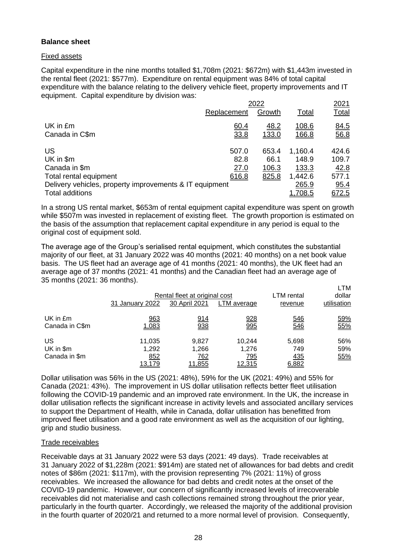# **Balance sheet**

### Fixed assets

Capital expenditure in the nine months totalled \$1,708m (2021: \$672m) with \$1,443m invested in the rental fleet (2021: \$577m). Expenditure on rental equipment was 84% of total capital expenditure with the balance relating to the delivery vehicle fleet, property improvements and IT equipment. Capital expenditure by division was:

|                                                         | 2022                |                      |                |                             |  |
|---------------------------------------------------------|---------------------|----------------------|----------------|-----------------------------|--|
|                                                         | Replacement         | Growth               | Total          | <u>2021</u><br><b>Total</b> |  |
| UK in £m<br>Canada in C\$m                              | <u>60.4</u><br>33.8 | <u>48.2</u><br>133.0 | 108.6<br>166.8 | 84.5<br>56.8                |  |
| US                                                      | 507.0               | 653.4                | 1,160.4        | 424.6                       |  |
| UK in \$m                                               | 82.8                | 66.1                 | 148.9          | 109.7                       |  |
| Canada in \$m                                           | 27.0                | 106.3                | 133.3          | 42.8                        |  |
| Total rental equipment                                  | 616.8               | 825.8                | 1,442.6        | 577.1                       |  |
| Delivery vehicles, property improvements & IT equipment |                     |                      | 265.9          | 95.4                        |  |
| <b>Total additions</b>                                  |                     |                      | 1,708.5        | 672.5                       |  |

In a strong US rental market, \$653m of rental equipment capital expenditure was spent on growth while \$507m was invested in replacement of existing fleet. The growth proportion is estimated on the basis of the assumption that replacement capital expenditure in any period is equal to the original cost of equipment sold.

The average age of the Group's serialised rental equipment, which constitutes the substantial majority of our fleet, at 31 January 2022 was 40 months (2021: 40 months) on a net book value basis. The US fleet had an average age of 41 months (2021: 40 months), the UK fleet had an average age of 37 months (2021: 41 months) and the Canadian fleet had an average age of 35 months (2021: 36 months).

|                                  | 31 January 2022                  | Rental fleet at original cost<br>30 April 2021 | LTM average                      | LTM rental<br>revenue        | LTM<br>dollar<br>utilisation |
|----------------------------------|----------------------------------|------------------------------------------------|----------------------------------|------------------------------|------------------------------|
| UK in £m<br>Canada in C\$m       | 963<br>1,083                     | <u>914</u><br>938                              | 928<br>995                       | 546<br>546                   | <u>59%</u><br>55%            |
| US<br>UK in \$m<br>Canada in \$m | 11,035<br>1,292<br>852<br>13,179 | 9,827<br>1,266<br>762<br>11,855                | 10.244<br>1.276<br>795<br>12,315 | 5,698<br>749<br>435<br>6,882 | 56%<br>59%<br>55%            |

Dollar utilisation was 56% in the US (2021: 48%), 59% for the UK (2021: 49%) and 55% for Canada (2021: 43%). The improvement in US dollar utilisation reflects better fleet utilisation following the COVID-19 pandemic and an improved rate environment. In the UK, the increase in dollar utilisation reflects the significant increase in activity levels and associated ancillary services to support the Department of Health, while in Canada, dollar utilisation has benefitted from improved fleet utilisation and a good rate environment as well as the acquisition of our lighting, grip and studio business.

## Trade receivables

Receivable days at 31 January 2022 were 53 days (2021: 49 days). Trade receivables at 31 January 2022 of \$1,228m (2021: \$914m) are stated net of allowances for bad debts and credit notes of \$86m (2021: \$117m), with the provision representing 7% (2021: 11%) of gross receivables. We increased the allowance for bad debts and credit notes at the onset of the COVID-19 pandemic. However, our concern of significantly increased levels of irrecoverable receivables did not materialise and cash collections remained strong throughout the prior year, particularly in the fourth quarter. Accordingly, we released the majority of the additional provision in the fourth quarter of 2020/21 and returned to a more normal level of provision. Consequently,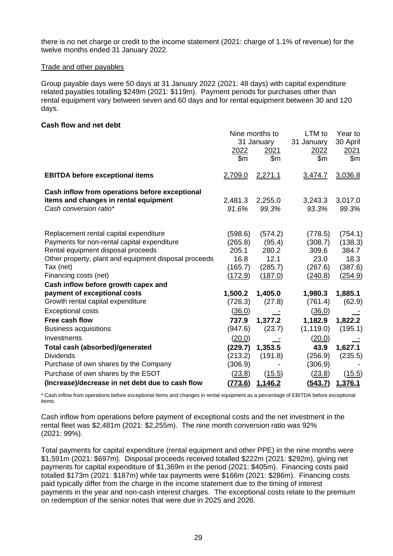there is no net charge or credit to the income statement (2021: charge of 1.1% of revenue) for the twelve months ended 31 January 2022.

### Trade and other payables

Group payable days were 50 days at 31 January 2022 (2021: 48 days) with capital expenditure related payables totalling \$249m (2021: \$119m). Payment periods for purchases other than rental equipment vary between seven and 60 days and for rental equipment between 30 and 120 days.

### **Cash flow and net debt**

|                                                       | Nine months to<br>31 January<br>2022<br>2021<br>\$m\$<br>\$m\$ |         | LTM to<br>31 January<br>2022<br>\$m\$ | Year to<br>30 April<br>2021<br>\$m\$ |
|-------------------------------------------------------|----------------------------------------------------------------|---------|---------------------------------------|--------------------------------------|
| <b>EBITDA before exceptional items</b>                | 2,709.0                                                        | 2,271.1 | 3,474.7                               | 3,036.8                              |
| Cash inflow from operations before exceptional        |                                                                |         |                                       |                                      |
| items and changes in rental equipment                 | 2,481.3                                                        | 2,255.0 | 3,243.3                               | 3,017.0                              |
| Cash conversion ratio*                                | 91.6%                                                          | 99.3%   | 93.3%                                 | 99.3%                                |
| Replacement rental capital expenditure                | (598.6)                                                        | (574.2) | (778.5)                               | (754.1)                              |
| Payments for non-rental capital expenditure           | (265.8)                                                        | (95.4)  | (308.7)                               | (138.3)                              |
| Rental equipment disposal proceeds                    | 205.1                                                          | 280.2   | 309.6                                 | 384.7                                |
| Other property, plant and equipment disposal proceeds | 16.8                                                           | 12.1    | 23.0                                  | 18.3                                 |
| Tax (net)                                             | (165.7)                                                        | (285.7) | (267.6)                               | (387.6)                              |
| Financing costs (net)                                 | (172.9)                                                        | (187.0) | (240.8)                               | (254.9)                              |
| Cash inflow before growth capex and                   |                                                                |         |                                       |                                      |
| payment of exceptional costs                          | 1,500.2                                                        | 1,405.0 | 1,980.3                               | 1,885.1                              |
| Growth rental capital expenditure                     | (726.3)                                                        | (27.8)  | (761.4)                               | (62.9)                               |
| <b>Exceptional costs</b>                              | (36.0)                                                         |         | (36.0)                                |                                      |
| Free cash flow                                        | 737.9                                                          | 1,377.2 | 1,182.9                               | 1,822.2                              |
| <b>Business acquisitions</b>                          | (947.6)                                                        | (23.7)  | (1, 119.0)                            | (195.1)                              |
| Investments                                           | (20.0)                                                         |         | (20.0)                                |                                      |
| Total cash (absorbed)/generated                       | (229.7)                                                        | 1,353.5 | 43.9                                  | 1,627.1                              |
| <b>Dividends</b>                                      | (213.2)                                                        | (191.8) | (256.9)                               | (235.5)                              |
| Purchase of own shares by the Company                 | (306.9)                                                        |         | (306.9)                               |                                      |
| Purchase of own shares by the ESOT                    | (23.8)                                                         | (15.5)  | (23.8)                                | (15.5)                               |
| (Increase)/decrease in net debt due to cash flow      | <u>(773.6)</u>                                                 | 1,146.2 | (543.7)                               | 1,376.1                              |

\* Cash inflow from operations before exceptional items and changes in rental equipment as a percentage of EBITDA before exceptional items.

Cash inflow from operations before payment of exceptional costs and the net investment in the rental fleet was \$2,481m (2021: \$2,255m). The nine month conversion ratio was 92% (2021: 99%).

Total payments for capital expenditure (rental equipment and other PPE) in the nine months were \$1,591m (2021: \$697m). Disposal proceeds received totalled \$222m (2021: \$292m), giving net payments for capital expenditure of \$1,369m in the period (2021: \$405m). Financing costs paid totalled \$173m (2021: \$187m) while tax payments were \$166m (2021: \$286m). Financing costs paid typically differ from the charge in the income statement due to the timing of interest payments in the year and non-cash interest charges. The exceptional costs relate to the premium on redemption of the senior notes that were due in 2025 and 2026.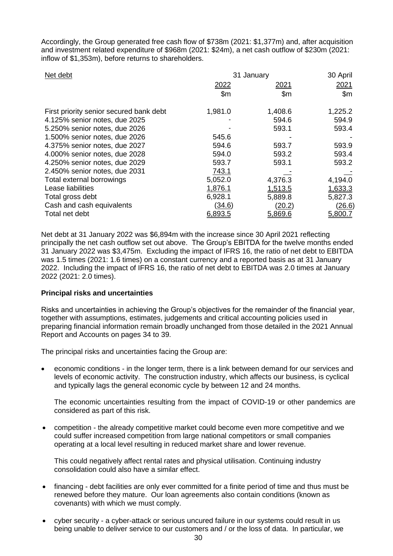Accordingly, the Group generated free cash flow of \$738m (2021: \$1,377m) and, after acquisition and investment related expenditure of \$968m (2021: \$24m), a net cash outflow of \$230m (2021: inflow of \$1,353m), before returns to shareholders.

| Net debt                                | 31 January    | 30 April      |               |
|-----------------------------------------|---------------|---------------|---------------|
|                                         | 2022          | 2021          | 2021          |
|                                         | $\mathsf{Sm}$ | $\mathsf{Sm}$ | $\mathsf{Sm}$ |
| First priority senior secured bank debt | 1,981.0       | 1,408.6       | 1,225.2       |
| 4.125% senior notes, due 2025           |               | 594.6         | 594.9         |
| 5.250% senior notes, due 2026           |               | 593.1         | 593.4         |
| 1.500% senior notes, due 2026           | 545.6         |               |               |
| 4.375% senior notes, due 2027           | 594.6         | 593.7         | 593.9         |
| 4.000% senior notes, due 2028           | 594.0         | 593.2         | 593.4         |
| 4.250% senior notes, due 2029           | 593.7         | 593.1         | 593.2         |
| 2.450% senior notes, due 2031           | 743.1         |               |               |
| Total external borrowings               | 5,052.0       | 4,376.3       | 4,194.0       |
| Lease liabilities                       | 1,876.1       | 1,513.5       | 1,633.3       |
| Total gross debt                        | 6,928.1       | 5,889.8       | 5,827.3       |
| Cash and cash equivalents               | (34.6)        | (20.2)        | (26.6)        |
| Total net debt                          | 6.893.5       | 5,869.6       | 5.800.7       |

Net debt at 31 January 2022 was \$6,894m with the increase since 30 April 2021 reflecting principally the net cash outflow set out above. The Group's EBITDA for the twelve months ended 31 January 2022 was \$3,475m. Excluding the impact of IFRS 16, the ratio of net debt to EBITDA was 1.5 times (2021: 1.6 times) on a constant currency and a reported basis as at 31 January 2022. Including the impact of IFRS 16, the ratio of net debt to EBITDA was 2.0 times at January 2022 (2021: 2.0 times).

## **Principal risks and uncertainties**

Risks and uncertainties in achieving the Group's objectives for the remainder of the financial year, together with assumptions, estimates, judgements and critical accounting policies used in preparing financial information remain broadly unchanged from those detailed in the 2021 Annual Report and Accounts on pages 34 to 39.

The principal risks and uncertainties facing the Group are:

• economic conditions - in the longer term, there is a link between demand for our services and levels of economic activity. The construction industry, which affects our business, is cyclical and typically lags the general economic cycle by between 12 and 24 months.

The economic uncertainties resulting from the impact of COVID-19 or other pandemics are considered as part of this risk.

• competition - the already competitive market could become even more competitive and we could suffer increased competition from large national competitors or small companies operating at a local level resulting in reduced market share and lower revenue.

This could negatively affect rental rates and physical utilisation. Continuing industry consolidation could also have a similar effect.

- financing debt facilities are only ever committed for a finite period of time and thus must be renewed before they mature. Our loan agreements also contain conditions (known as covenants) with which we must comply.
- cyber security a cyber-attack or serious uncured failure in our systems could result in us being unable to deliver service to our customers and / or the loss of data. In particular, we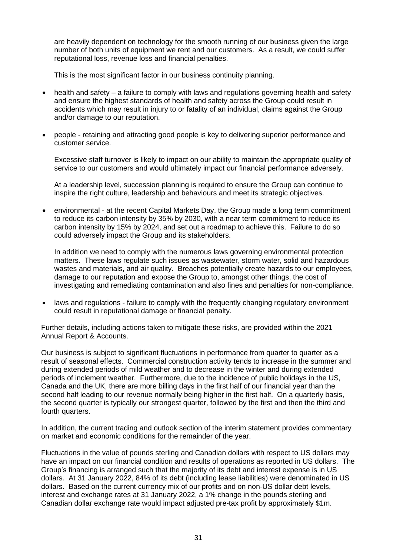are heavily dependent on technology for the smooth running of our business given the large number of both units of equipment we rent and our customers. As a result, we could suffer reputational loss, revenue loss and financial penalties.

This is the most significant factor in our business continuity planning.

- health and safety a failure to comply with laws and regulations governing health and safety and ensure the highest standards of health and safety across the Group could result in accidents which may result in injury to or fatality of an individual, claims against the Group and/or damage to our reputation.
- people retaining and attracting good people is key to delivering superior performance and customer service.

Excessive staff turnover is likely to impact on our ability to maintain the appropriate quality of service to our customers and would ultimately impact our financial performance adversely.

At a leadership level, succession planning is required to ensure the Group can continue to inspire the right culture, leadership and behaviours and meet its strategic objectives.

• environmental - at the recent Capital Markets Day, the Group made a long term commitment to reduce its carbon intensity by 35% by 2030, with a near term commitment to reduce its carbon intensity by 15% by 2024, and set out a roadmap to achieve this. Failure to do so could adversely impact the Group and its stakeholders.

In addition we need to comply with the numerous laws governing environmental protection matters. These laws regulate such issues as wastewater, storm water, solid and hazardous wastes and materials, and air quality. Breaches potentially create hazards to our employees, damage to our reputation and expose the Group to, amongst other things, the cost of investigating and remediating contamination and also fines and penalties for non-compliance.

• laws and regulations - failure to comply with the frequently changing regulatory environment could result in reputational damage or financial penalty.

Further details, including actions taken to mitigate these risks, are provided within the 2021 Annual Report & Accounts.

Our business is subject to significant fluctuations in performance from quarter to quarter as a result of seasonal effects. Commercial construction activity tends to increase in the summer and during extended periods of mild weather and to decrease in the winter and during extended periods of inclement weather. Furthermore, due to the incidence of public holidays in the US, Canada and the UK, there are more billing days in the first half of our financial year than the second half leading to our revenue normally being higher in the first half. On a quarterly basis, the second quarter is typically our strongest quarter, followed by the first and then the third and fourth quarters.

In addition, the current trading and outlook section of the interim statement provides commentary on market and economic conditions for the remainder of the year.

Fluctuations in the value of pounds sterling and Canadian dollars with respect to US dollars may have an impact on our financial condition and results of operations as reported in US dollars. The Group's financing is arranged such that the majority of its debt and interest expense is in US dollars. At 31 January 2022, 84% of its debt (including lease liabilities) were denominated in US dollars. Based on the current currency mix of our profits and on non-US dollar debt levels, interest and exchange rates at 31 January 2022, a 1% change in the pounds sterling and Canadian dollar exchange rate would impact adjusted pre-tax profit by approximately \$1m.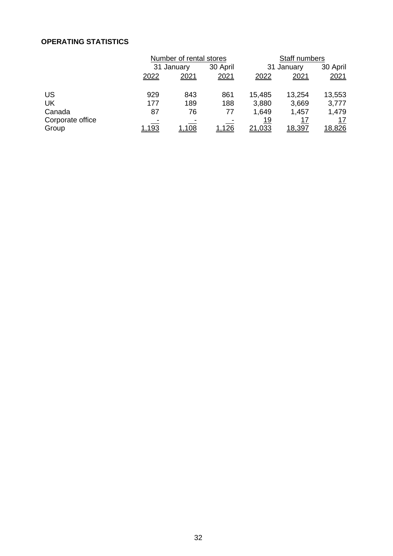# **OPERATING STATISTICS**

|            |       |          | Staff numbers           |              |              |
|------------|-------|----------|-------------------------|--------------|--------------|
| 31 January |       | 30 April | 31 January              |              | 30 April     |
| 2022       | 2021  | 2021     | 2022                    | 2021         | 2021         |
| 929        | 843   | 861      | 15,485                  | 13,254       | 13,553       |
| 177        | 189   | 188      | 3,880                   | 3,669        | 3,777        |
| 87         | 76    | 77       | 1,649                   | 1,457        | 1,479        |
| 1.193      | 1.108 | 1.126    | 19<br>21.033            | 17<br>18.397 | 17<br>18,826 |
|            |       |          | Number of rental stores |              |              |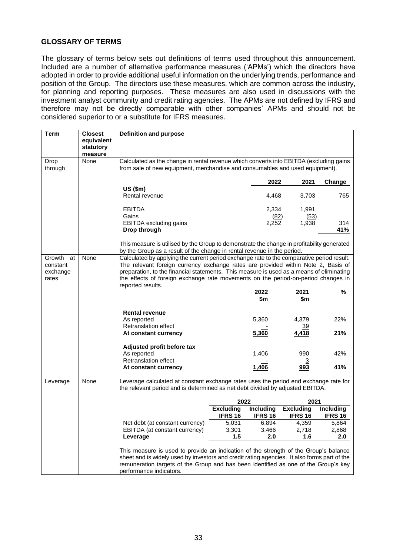# **GLOSSARY OF TERMS**

The glossary of terms below sets out definitions of terms used throughout this announcement. Included are a number of alternative performance measures ('APMs') which the directors have adopted in order to provide additional useful information on the underlying trends, performance and position of the Group. The directors use these measures, which are common across the industry, for planning and reporting purposes. These measures are also used in discussions with the investment analyst community and credit rating agencies. The APMs are not defined by IFRS and therefore may not be directly comparable with other companies' APMs and should not be considered superior to or a substitute for IFRS measures.

| Term                     | <b>Closest</b><br>equivalent<br>statutory | Definition and purpose                                                                                                                                                                                                                                                                                |                                    |                             |                                    |                             |
|--------------------------|-------------------------------------------|-------------------------------------------------------------------------------------------------------------------------------------------------------------------------------------------------------------------------------------------------------------------------------------------------------|------------------------------------|-----------------------------|------------------------------------|-----------------------------|
|                          | measure                                   |                                                                                                                                                                                                                                                                                                       |                                    |                             |                                    |                             |
| Drop<br>through          | None                                      | Calculated as the change in rental revenue which converts into EBITDA (excluding gains<br>from sale of new equipment, merchandise and consumables and used equipment).                                                                                                                                |                                    |                             |                                    |                             |
|                          |                                           |                                                                                                                                                                                                                                                                                                       |                                    | 2022                        | 2021                               |                             |
|                          |                                           | US (\$m)                                                                                                                                                                                                                                                                                              |                                    |                             |                                    | Change                      |
|                          |                                           | Rental revenue                                                                                                                                                                                                                                                                                        |                                    | 4,468                       | 3,703                              | 765                         |
|                          |                                           | <b>EBITDA</b>                                                                                                                                                                                                                                                                                         |                                    | 2,334                       | 1,991                              |                             |
|                          |                                           | Gains                                                                                                                                                                                                                                                                                                 |                                    | (82)                        | (53)                               |                             |
|                          |                                           | EBITDA excluding gains                                                                                                                                                                                                                                                                                |                                    | <u>2,252</u>                | <u>1,938</u>                       | 314                         |
|                          |                                           | Drop through                                                                                                                                                                                                                                                                                          |                                    |                             |                                    | 41%                         |
|                          |                                           | This measure is utilised by the Group to demonstrate the change in profitability generated<br>by the Group as a result of the change in rental revenue in the period.                                                                                                                                 |                                    |                             |                                    |                             |
| Growth<br>at<br>constant | None                                      | Calculated by applying the current period exchange rate to the comparative period result.<br>The relevant foreign currency exchange rates are provided within Note 2, Basis of                                                                                                                        |                                    |                             |                                    |                             |
| exchange                 |                                           | preparation, to the financial statements. This measure is used as a means of eliminating                                                                                                                                                                                                              |                                    |                             |                                    |                             |
| rates                    |                                           | the effects of foreign exchange rate movements on the period-on-period changes in                                                                                                                                                                                                                     |                                    |                             |                                    |                             |
|                          |                                           | reported results.                                                                                                                                                                                                                                                                                     |                                    |                             |                                    |                             |
|                          |                                           |                                                                                                                                                                                                                                                                                                       |                                    | 2022                        | 2021                               | %                           |
|                          |                                           |                                                                                                                                                                                                                                                                                                       |                                    | \$m                         | \$m                                |                             |
|                          |                                           | <b>Rental revenue</b>                                                                                                                                                                                                                                                                                 |                                    |                             |                                    |                             |
|                          |                                           | As reported                                                                                                                                                                                                                                                                                           |                                    | 5,360                       | 4,379                              | 22%                         |
|                          |                                           | Retranslation effect                                                                                                                                                                                                                                                                                  |                                    |                             | <u>39</u>                          |                             |
|                          |                                           | At constant currency                                                                                                                                                                                                                                                                                  |                                    | 5,360                       | <u>4,418</u>                       | 21%                         |
|                          |                                           | Adjusted profit before tax                                                                                                                                                                                                                                                                            |                                    |                             |                                    |                             |
|                          |                                           | As reported                                                                                                                                                                                                                                                                                           |                                    | 1,406                       | 990                                | 42%                         |
|                          |                                           | <b>Retranslation effect</b>                                                                                                                                                                                                                                                                           |                                    |                             | 3                                  |                             |
|                          |                                           | At constant currency                                                                                                                                                                                                                                                                                  |                                    | 1,406                       | 993                                | 41%                         |
|                          |                                           |                                                                                                                                                                                                                                                                                                       |                                    |                             |                                    |                             |
| Leverage                 | None                                      | Leverage calculated at constant exchange rates uses the period end exchange rate for<br>the relevant period and is determined as net debt divided by adjusted EBITDA.                                                                                                                                 |                                    |                             |                                    |                             |
|                          |                                           |                                                                                                                                                                                                                                                                                                       | 2022                               |                             | 2021                               |                             |
|                          |                                           |                                                                                                                                                                                                                                                                                                       | <b>Excluding</b><br><b>IFRS 16</b> | Including<br><b>IFRS 16</b> | <b>Excluding</b><br><b>IFRS 16</b> | Including<br><b>IFRS 16</b> |
|                          |                                           | Net debt (at constant currency)                                                                                                                                                                                                                                                                       | 5,031                              | 6,894                       | 4,359                              | 5,864                       |
|                          |                                           | EBITDA (at constant currency)                                                                                                                                                                                                                                                                         | 3,301                              | 3,466                       | 2,718                              | 2,868                       |
|                          |                                           | Leverage                                                                                                                                                                                                                                                                                              | 1.5                                | 2.0                         | 1.6                                | 2.0                         |
|                          |                                           | This measure is used to provide an indication of the strength of the Group's balance<br>sheet and is widely used by investors and credit rating agencies. It also forms part of the<br>remuneration targets of the Group and has been identified as one of the Group's key<br>performance indicators. |                                    |                             |                                    |                             |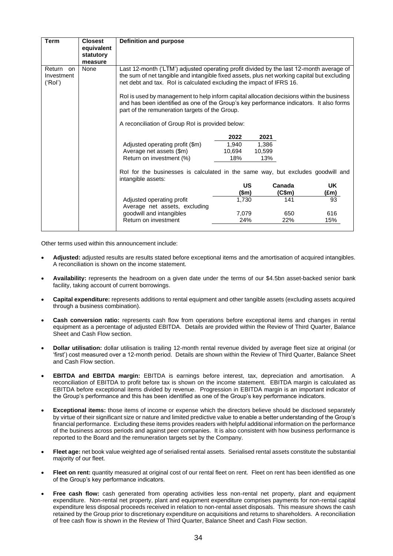| <b>Term</b>                            | <b>Closest</b><br>equivalent<br>statutory<br>measure | Definition and purpose                                                                                                                                                                                                                                         |                                |                                |                  |                   |
|----------------------------------------|------------------------------------------------------|----------------------------------------------------------------------------------------------------------------------------------------------------------------------------------------------------------------------------------------------------------------|--------------------------------|--------------------------------|------------------|-------------------|
| Return<br>on.<br>Investment<br>('Rol') | None                                                 | Last 12-month ('LTM') adjusted operating profit divided by the last 12-month average of<br>the sum of net tangible and intangible fixed assets, plus net working capital but excluding<br>net debt and tax. Rol is calculated excluding the impact of IFRS 16. |                                |                                |                  |                   |
|                                        |                                                      | Rol is used by management to help inform capital allocation decisions within the business<br>and has been identified as one of the Group's key performance indicators. It also forms<br>part of the remuneration targets of the Group.                         |                                |                                |                  |                   |
|                                        |                                                      | A reconciliation of Group RoI is provided below:                                                                                                                                                                                                               |                                |                                |                  |                   |
|                                        |                                                      | Adjusted operating profit (\$m)<br>Average net assets (\$m)<br>Return on investment (%)                                                                                                                                                                        | 2022<br>1,940<br>10,694<br>18% | 2021<br>1,386<br>10,599<br>13% |                  |                   |
|                                        |                                                      | Rol for the businesses is calculated in the same way, but excludes goodwill and<br>intangible assets:                                                                                                                                                          |                                |                                |                  |                   |
|                                        |                                                      |                                                                                                                                                                                                                                                                | US<br>(\$m)                    |                                | Canada<br>(C\$m) | <b>UK</b><br>(£m) |
|                                        |                                                      | Adjusted operating profit<br>Average net assets, excluding                                                                                                                                                                                                     | 1,730                          |                                | 141              | 93                |
|                                        |                                                      | goodwill and intangibles<br>Return on investment                                                                                                                                                                                                               | 7,079<br>24%                   |                                | 650<br>22%       | 616<br>15%        |

Other terms used within this announcement include:

- **Adjusted:** adjusted results are results stated before exceptional items and the amortisation of acquired intangibles. A reconciliation is shown on the income statement.
- **Availability:** represents the headroom on a given date under the terms of our \$4.5bn asset-backed senior bank facility, taking account of current borrowings.
- **Capital expenditure:** represents additions to rental equipment and other tangible assets (excluding assets acquired through a business combination).
- **Cash conversion ratio:** represents cash flow from operations before exceptional items and changes in rental equipment as a percentage of adjusted EBITDA. Details are provided within the Review of Third Quarter, Balance Sheet and Cash Flow section.
- **Dollar utilisation:** dollar utilisation is trailing 12-month rental revenue divided by average fleet size at original (or 'first') cost measured over a 12-month period. Details are shown within the Review of Third Quarter, Balance Sheet and Cash Flow section.
- **EBITDA and EBITDA margin:** EBITDA is earnings before interest, tax, depreciation and amortisation. A reconciliation of EBITDA to profit before tax is shown on the income statement. EBITDA margin is calculated as EBITDA before exceptional items divided by revenue. Progression in EBITDA margin is an important indicator of the Group's performance and this has been identified as one of the Group's key performance indicators.
- **Exceptional items:** those items of income or expense which the directors believe should be disclosed separately by virtue of their significant size or nature and limited predictive value to enable a better understanding of the Group's financial performance. Excluding these items provides readers with helpful additional information on the performance of the business across periods and against peer companies. It is also consistent with how business performance is reported to the Board and the remuneration targets set by the Company.
- **Fleet age:** net book value weighted age of serialised rental assets. Serialised rental assets constitute the substantial majority of our fleet.
- **Fleet on rent:** quantity measured at original cost of our rental fleet on rent. Fleet on rent has been identified as one of the Group's key performance indicators.
- **Free cash flow:** cash generated from operating activities less non-rental net property, plant and equipment expenditure. Non-rental net property, plant and equipment expenditure comprises payments for non-rental capital expenditure less disposal proceeds received in relation to non-rental asset disposals. This measure shows the cash retained by the Group prior to discretionary expenditure on acquisitions and returns to shareholders. A reconciliation of free cash flow is shown in the Review of Third Quarter, Balance Sheet and Cash Flow section.